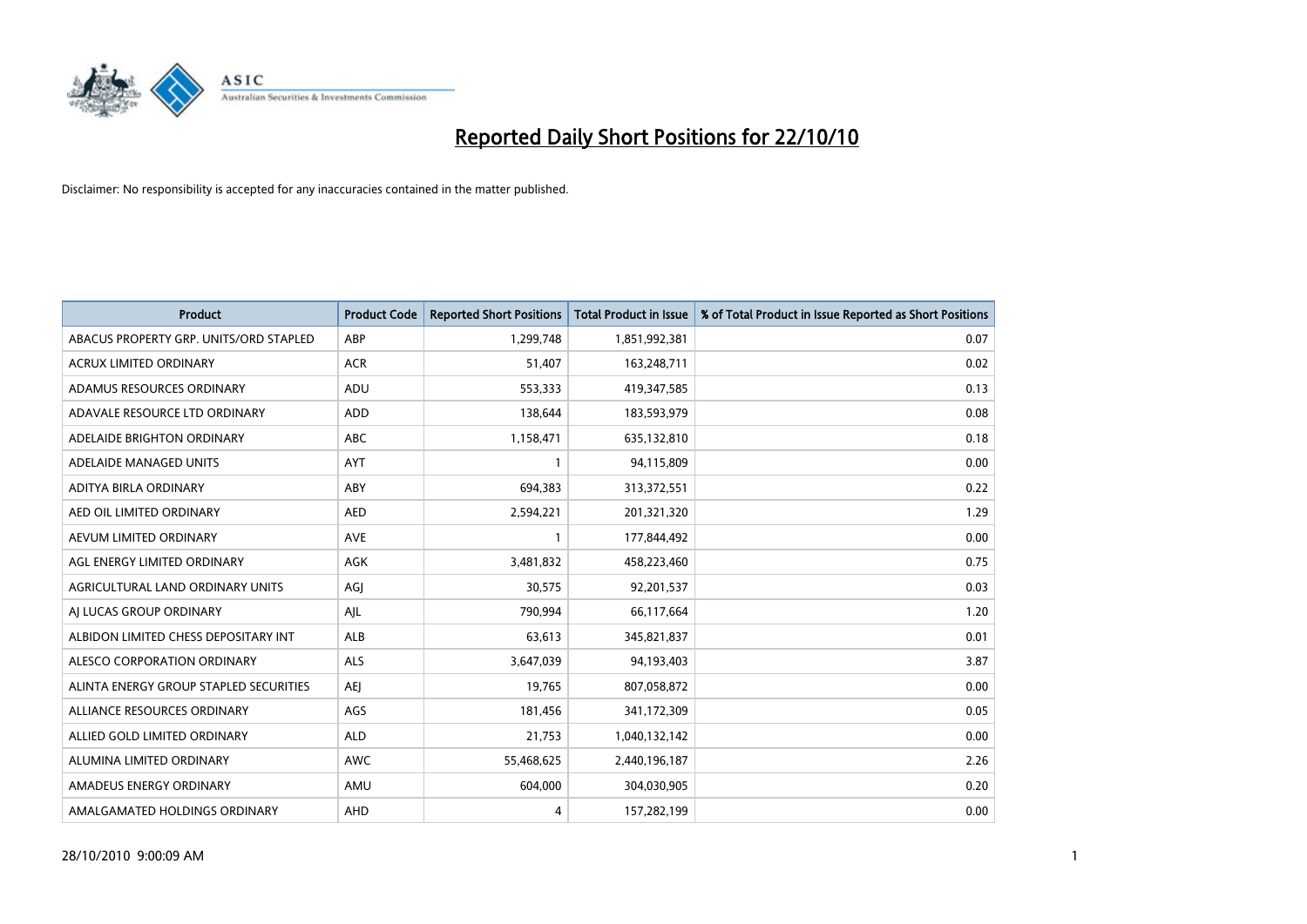

| <b>Product</b>                         | <b>Product Code</b> | <b>Reported Short Positions</b> | <b>Total Product in Issue</b> | % of Total Product in Issue Reported as Short Positions |
|----------------------------------------|---------------------|---------------------------------|-------------------------------|---------------------------------------------------------|
| ABACUS PROPERTY GRP. UNITS/ORD STAPLED | ABP                 | 1,299,748                       | 1,851,992,381                 | 0.07                                                    |
| ACRUX LIMITED ORDINARY                 | <b>ACR</b>          | 51,407                          | 163,248,711                   | 0.02                                                    |
| ADAMUS RESOURCES ORDINARY              | <b>ADU</b>          | 553,333                         | 419,347,585                   | 0.13                                                    |
| ADAVALE RESOURCE LTD ORDINARY          | <b>ADD</b>          | 138,644                         | 183,593,979                   | 0.08                                                    |
| ADELAIDE BRIGHTON ORDINARY             | <b>ABC</b>          | 1,158,471                       | 635,132,810                   | 0.18                                                    |
| ADELAIDE MANAGED UNITS                 | AYT                 |                                 | 94,115,809                    | 0.00                                                    |
| ADITYA BIRLA ORDINARY                  | ABY                 | 694,383                         | 313,372,551                   | 0.22                                                    |
| AED OIL LIMITED ORDINARY               | <b>AED</b>          | 2,594,221                       | 201,321,320                   | 1.29                                                    |
| AEVUM LIMITED ORDINARY                 | <b>AVE</b>          |                                 | 177,844,492                   | 0.00                                                    |
| AGL ENERGY LIMITED ORDINARY            | <b>AGK</b>          | 3,481,832                       | 458,223,460                   | 0.75                                                    |
| AGRICULTURAL LAND ORDINARY UNITS       | AGJ                 | 30,575                          | 92,201,537                    | 0.03                                                    |
| AI LUCAS GROUP ORDINARY                | AJL                 | 790.994                         | 66,117,664                    | 1.20                                                    |
| ALBIDON LIMITED CHESS DEPOSITARY INT   | ALB                 | 63,613                          | 345,821,837                   | 0.01                                                    |
| ALESCO CORPORATION ORDINARY            | <b>ALS</b>          | 3,647,039                       | 94,193,403                    | 3.87                                                    |
| ALINTA ENERGY GROUP STAPLED SECURITIES | <b>AEI</b>          | 19,765                          | 807,058,872                   | 0.00                                                    |
| ALLIANCE RESOURCES ORDINARY            | AGS                 | 181,456                         | 341,172,309                   | 0.05                                                    |
| ALLIED GOLD LIMITED ORDINARY           | <b>ALD</b>          | 21,753                          | 1,040,132,142                 | 0.00                                                    |
| ALUMINA LIMITED ORDINARY               | <b>AWC</b>          | 55,468,625                      | 2,440,196,187                 | 2.26                                                    |
| AMADEUS ENERGY ORDINARY                | AMU                 | 604,000                         | 304,030,905                   | 0.20                                                    |
| AMALGAMATED HOLDINGS ORDINARY          | AHD                 | 4                               | 157,282,199                   | 0.00                                                    |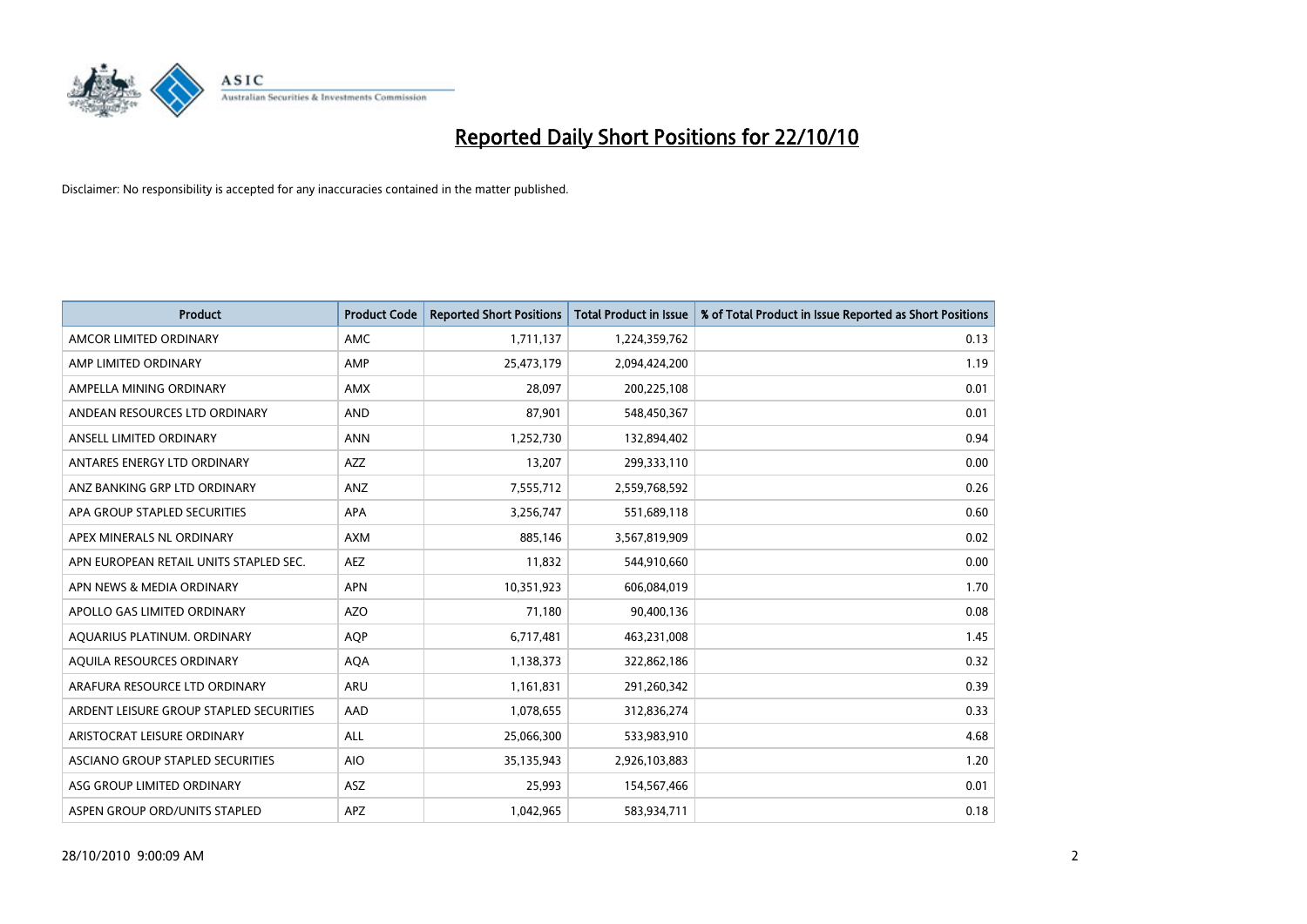

| <b>Product</b>                          | <b>Product Code</b> | <b>Reported Short Positions</b> | <b>Total Product in Issue</b> | % of Total Product in Issue Reported as Short Positions |
|-----------------------------------------|---------------------|---------------------------------|-------------------------------|---------------------------------------------------------|
| AMCOR LIMITED ORDINARY                  | <b>AMC</b>          | 1,711,137                       | 1,224,359,762                 | 0.13                                                    |
| AMP LIMITED ORDINARY                    | AMP                 | 25,473,179                      | 2,094,424,200                 | 1.19                                                    |
| AMPELLA MINING ORDINARY                 | <b>AMX</b>          | 28.097                          | 200,225,108                   | 0.01                                                    |
| ANDEAN RESOURCES LTD ORDINARY           | <b>AND</b>          | 87,901                          | 548,450,367                   | 0.01                                                    |
| ANSELL LIMITED ORDINARY                 | <b>ANN</b>          | 1,252,730                       | 132,894,402                   | 0.94                                                    |
| ANTARES ENERGY LTD ORDINARY             | <b>AZZ</b>          | 13,207                          | 299,333,110                   | 0.00                                                    |
| ANZ BANKING GRP LTD ORDINARY            | <b>ANZ</b>          | 7,555,712                       | 2,559,768,592                 | 0.26                                                    |
| APA GROUP STAPLED SECURITIES            | <b>APA</b>          | 3,256,747                       | 551,689,118                   | 0.60                                                    |
| APEX MINERALS NL ORDINARY               | <b>AXM</b>          | 885,146                         | 3,567,819,909                 | 0.02                                                    |
| APN EUROPEAN RETAIL UNITS STAPLED SEC.  | <b>AEZ</b>          | 11,832                          | 544,910,660                   | 0.00                                                    |
| APN NEWS & MEDIA ORDINARY               | <b>APN</b>          | 10,351,923                      | 606,084,019                   | 1.70                                                    |
| APOLLO GAS LIMITED ORDINARY             | <b>AZO</b>          | 71,180                          | 90,400,136                    | 0.08                                                    |
| AQUARIUS PLATINUM. ORDINARY             | <b>AQP</b>          | 6,717,481                       | 463,231,008                   | 1.45                                                    |
| AQUILA RESOURCES ORDINARY               | <b>AQA</b>          | 1,138,373                       | 322,862,186                   | 0.32                                                    |
| ARAFURA RESOURCE LTD ORDINARY           | <b>ARU</b>          | 1,161,831                       | 291,260,342                   | 0.39                                                    |
| ARDENT LEISURE GROUP STAPLED SECURITIES | AAD                 | 1,078,655                       | 312,836,274                   | 0.33                                                    |
| ARISTOCRAT LEISURE ORDINARY             | <b>ALL</b>          | 25,066,300                      | 533,983,910                   | 4.68                                                    |
| ASCIANO GROUP STAPLED SECURITIES        | <b>AIO</b>          | 35,135,943                      | 2,926,103,883                 | 1.20                                                    |
| ASG GROUP LIMITED ORDINARY              | <b>ASZ</b>          | 25,993                          | 154,567,466                   | 0.01                                                    |
| ASPEN GROUP ORD/UNITS STAPLED           | <b>APZ</b>          | 1,042,965                       | 583,934,711                   | 0.18                                                    |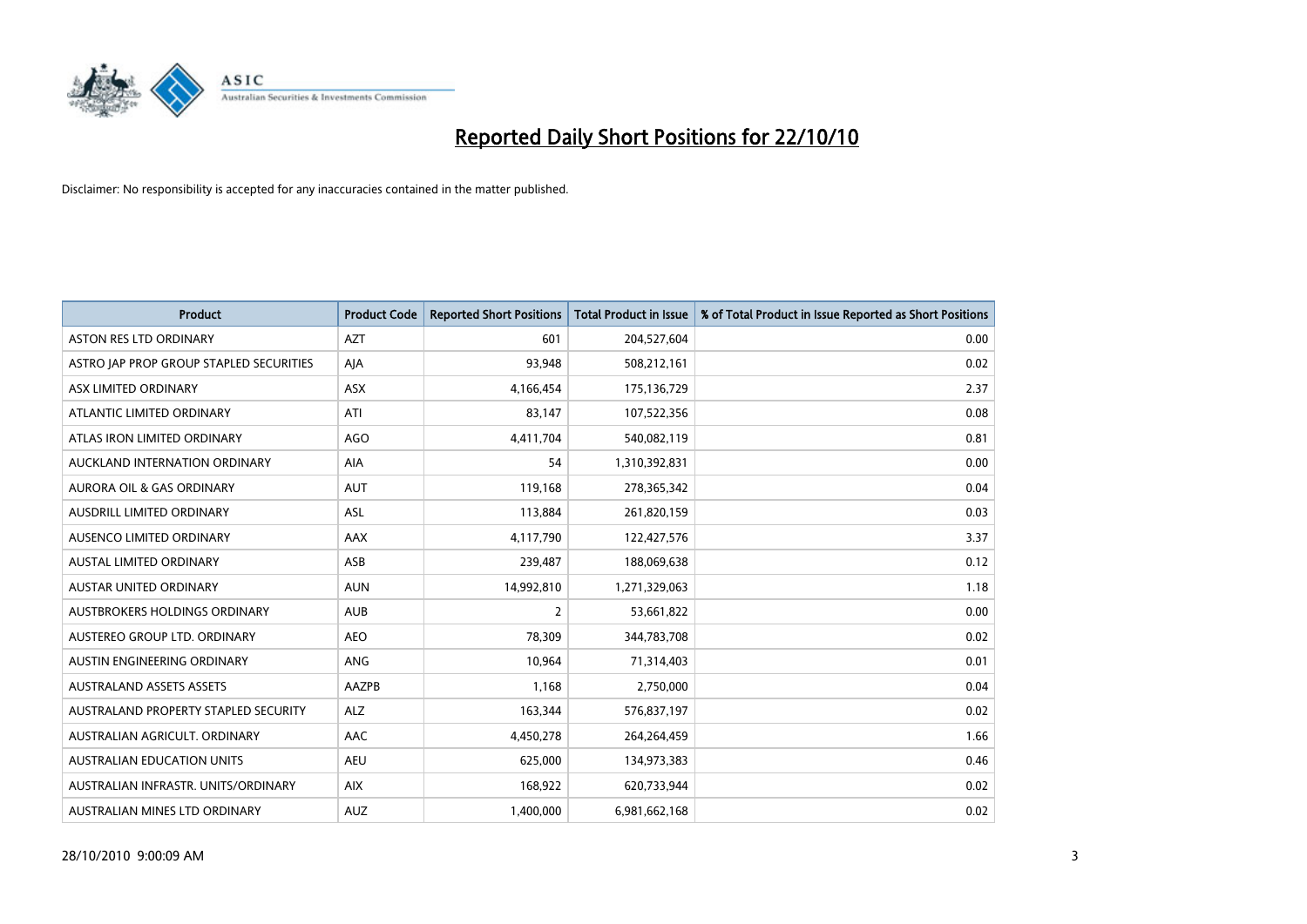

| <b>Product</b>                          | <b>Product Code</b> | <b>Reported Short Positions</b> | Total Product in Issue | % of Total Product in Issue Reported as Short Positions |
|-----------------------------------------|---------------------|---------------------------------|------------------------|---------------------------------------------------------|
| <b>ASTON RES LTD ORDINARY</b>           | <b>AZT</b>          | 601                             | 204,527,604            | 0.00                                                    |
| ASTRO JAP PROP GROUP STAPLED SECURITIES | AIA                 | 93,948                          | 508,212,161            | 0.02                                                    |
| ASX LIMITED ORDINARY                    | <b>ASX</b>          | 4,166,454                       | 175,136,729            | 2.37                                                    |
| ATLANTIC LIMITED ORDINARY               | ATI                 | 83,147                          | 107,522,356            | 0.08                                                    |
| ATLAS IRON LIMITED ORDINARY             | <b>AGO</b>          | 4,411,704                       | 540,082,119            | 0.81                                                    |
| AUCKLAND INTERNATION ORDINARY           | AIA                 | 54                              | 1,310,392,831          | 0.00                                                    |
| <b>AURORA OIL &amp; GAS ORDINARY</b>    | <b>AUT</b>          | 119,168                         | 278,365,342            | 0.04                                                    |
| <b>AUSDRILL LIMITED ORDINARY</b>        | <b>ASL</b>          | 113,884                         | 261,820,159            | 0.03                                                    |
| AUSENCO LIMITED ORDINARY                | AAX                 | 4,117,790                       | 122,427,576            | 3.37                                                    |
| <b>AUSTAL LIMITED ORDINARY</b>          | ASB                 | 239,487                         | 188,069,638            | 0.12                                                    |
| AUSTAR UNITED ORDINARY                  | <b>AUN</b>          | 14,992,810                      | 1,271,329,063          | 1.18                                                    |
| <b>AUSTBROKERS HOLDINGS ORDINARY</b>    | <b>AUB</b>          | 2                               | 53,661,822             | 0.00                                                    |
| AUSTEREO GROUP LTD. ORDINARY            | <b>AEO</b>          | 78,309                          | 344,783,708            | 0.02                                                    |
| AUSTIN ENGINEERING ORDINARY             | ANG                 | 10,964                          | 71,314,403             | 0.01                                                    |
| <b>AUSTRALAND ASSETS ASSETS</b>         | AAZPB               | 1,168                           | 2,750,000              | 0.04                                                    |
| AUSTRALAND PROPERTY STAPLED SECURITY    | <b>ALZ</b>          | 163,344                         | 576,837,197            | 0.02                                                    |
| AUSTRALIAN AGRICULT, ORDINARY           | AAC                 | 4,450,278                       | 264,264,459            | 1.66                                                    |
| AUSTRALIAN EDUCATION UNITS              | <b>AEU</b>          | 625,000                         | 134,973,383            | 0.46                                                    |
| AUSTRALIAN INFRASTR, UNITS/ORDINARY     | <b>AIX</b>          | 168,922                         | 620,733,944            | 0.02                                                    |
| AUSTRALIAN MINES LTD ORDINARY           | <b>AUZ</b>          | 1,400,000                       | 6,981,662,168          | 0.02                                                    |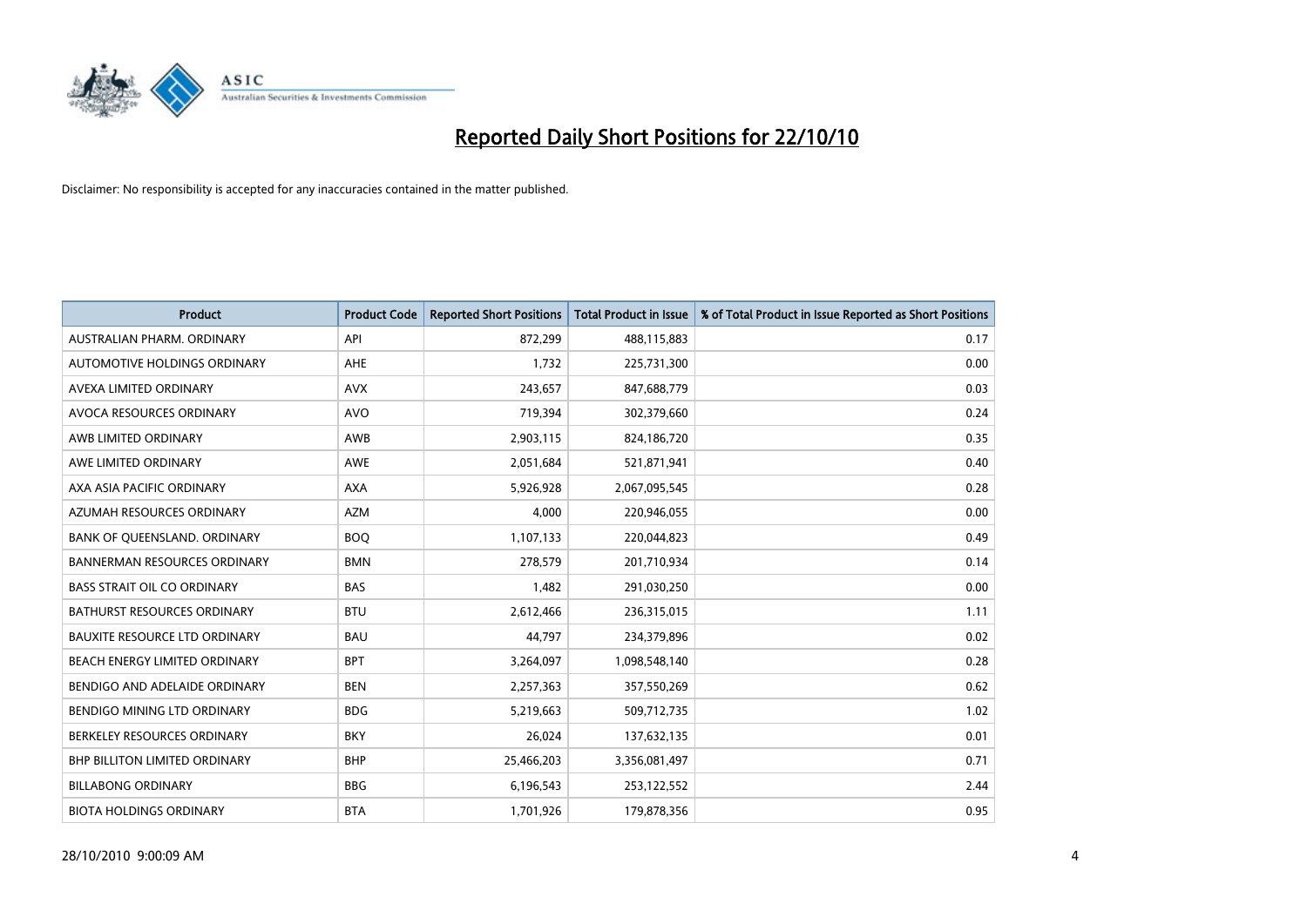

| <b>Product</b>                       | <b>Product Code</b> | <b>Reported Short Positions</b> | <b>Total Product in Issue</b> | % of Total Product in Issue Reported as Short Positions |
|--------------------------------------|---------------------|---------------------------------|-------------------------------|---------------------------------------------------------|
| AUSTRALIAN PHARM, ORDINARY           | API                 | 872,299                         | 488,115,883                   | 0.17                                                    |
| AUTOMOTIVE HOLDINGS ORDINARY         | <b>AHE</b>          | 1,732                           | 225,731,300                   | 0.00                                                    |
| AVEXA LIMITED ORDINARY               | <b>AVX</b>          | 243,657                         | 847,688,779                   | 0.03                                                    |
| AVOCA RESOURCES ORDINARY             | <b>AVO</b>          | 719,394                         | 302,379,660                   | 0.24                                                    |
| AWB LIMITED ORDINARY                 | <b>AWB</b>          | 2,903,115                       | 824,186,720                   | 0.35                                                    |
| AWE LIMITED ORDINARY                 | <b>AWE</b>          | 2,051,684                       | 521,871,941                   | 0.40                                                    |
| AXA ASIA PACIFIC ORDINARY            | <b>AXA</b>          | 5,926,928                       | 2,067,095,545                 | 0.28                                                    |
| AZUMAH RESOURCES ORDINARY            | <b>AZM</b>          | 4.000                           | 220,946,055                   | 0.00                                                    |
| BANK OF QUEENSLAND. ORDINARY         | <b>BOO</b>          | 1,107,133                       | 220,044,823                   | 0.49                                                    |
| <b>BANNERMAN RESOURCES ORDINARY</b>  | <b>BMN</b>          | 278,579                         | 201,710,934                   | 0.14                                                    |
| <b>BASS STRAIT OIL CO ORDINARY</b>   | <b>BAS</b>          | 1,482                           | 291,030,250                   | 0.00                                                    |
| <b>BATHURST RESOURCES ORDINARY</b>   | <b>BTU</b>          | 2,612,466                       | 236,315,015                   | 1.11                                                    |
| <b>BAUXITE RESOURCE LTD ORDINARY</b> | <b>BAU</b>          | 44.797                          | 234,379,896                   | 0.02                                                    |
| BEACH ENERGY LIMITED ORDINARY        | <b>BPT</b>          | 3,264,097                       | 1,098,548,140                 | 0.28                                                    |
| BENDIGO AND ADELAIDE ORDINARY        | <b>BEN</b>          | 2,257,363                       | 357,550,269                   | 0.62                                                    |
| <b>BENDIGO MINING LTD ORDINARY</b>   | <b>BDG</b>          | 5,219,663                       | 509,712,735                   | 1.02                                                    |
| BERKELEY RESOURCES ORDINARY          | <b>BKY</b>          | 26,024                          | 137,632,135                   | 0.01                                                    |
| BHP BILLITON LIMITED ORDINARY        | <b>BHP</b>          | 25,466,203                      | 3,356,081,497                 | 0.71                                                    |
| <b>BILLABONG ORDINARY</b>            | <b>BBG</b>          | 6,196,543                       | 253,122,552                   | 2.44                                                    |
| <b>BIOTA HOLDINGS ORDINARY</b>       | <b>BTA</b>          | 1,701,926                       | 179,878,356                   | 0.95                                                    |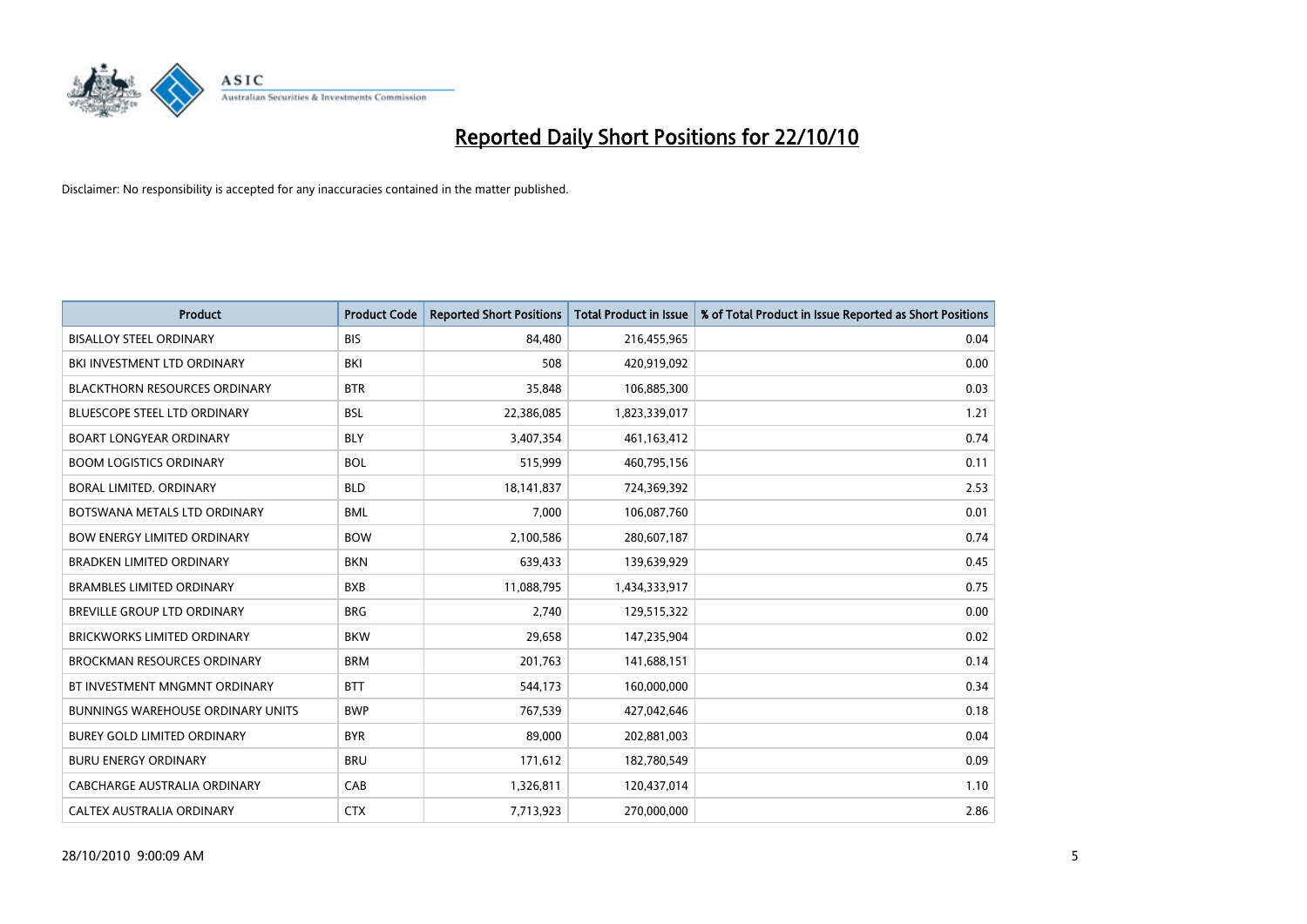

| <b>Product</b>                           | <b>Product Code</b> | <b>Reported Short Positions</b> | <b>Total Product in Issue</b> | % of Total Product in Issue Reported as Short Positions |
|------------------------------------------|---------------------|---------------------------------|-------------------------------|---------------------------------------------------------|
| <b>BISALLOY STEEL ORDINARY</b>           | <b>BIS</b>          | 84,480                          | 216,455,965                   | 0.04                                                    |
| BKI INVESTMENT LTD ORDINARY              | <b>BKI</b>          | 508                             | 420,919,092                   | 0.00                                                    |
| <b>BLACKTHORN RESOURCES ORDINARY</b>     | <b>BTR</b>          | 35.848                          | 106,885,300                   | 0.03                                                    |
| <b>BLUESCOPE STEEL LTD ORDINARY</b>      | <b>BSL</b>          | 22,386,085                      | 1,823,339,017                 | 1.21                                                    |
| <b>BOART LONGYEAR ORDINARY</b>           | <b>BLY</b>          | 3,407,354                       | 461,163,412                   | 0.74                                                    |
| <b>BOOM LOGISTICS ORDINARY</b>           | <b>BOL</b>          | 515,999                         | 460,795,156                   | 0.11                                                    |
| BORAL LIMITED. ORDINARY                  | <b>BLD</b>          | 18,141,837                      | 724,369,392                   | 2.53                                                    |
| BOTSWANA METALS LTD ORDINARY             | <b>BML</b>          | 7,000                           | 106,087,760                   | 0.01                                                    |
| <b>BOW ENERGY LIMITED ORDINARY</b>       | <b>BOW</b>          | 2,100,586                       | 280,607,187                   | 0.74                                                    |
| <b>BRADKEN LIMITED ORDINARY</b>          | <b>BKN</b>          | 639,433                         | 139,639,929                   | 0.45                                                    |
| <b>BRAMBLES LIMITED ORDINARY</b>         | <b>BXB</b>          | 11,088,795                      | 1,434,333,917                 | 0.75                                                    |
| <b>BREVILLE GROUP LTD ORDINARY</b>       | <b>BRG</b>          | 2,740                           | 129,515,322                   | 0.00                                                    |
| <b>BRICKWORKS LIMITED ORDINARY</b>       | <b>BKW</b>          | 29,658                          | 147,235,904                   | 0.02                                                    |
| <b>BROCKMAN RESOURCES ORDINARY</b>       | <b>BRM</b>          | 201,763                         | 141,688,151                   | 0.14                                                    |
| BT INVESTMENT MNGMNT ORDINARY            | <b>BTT</b>          | 544,173                         | 160,000,000                   | 0.34                                                    |
| <b>BUNNINGS WAREHOUSE ORDINARY UNITS</b> | <b>BWP</b>          | 767,539                         | 427,042,646                   | 0.18                                                    |
| BUREY GOLD LIMITED ORDINARY              | <b>BYR</b>          | 89,000                          | 202,881,003                   | 0.04                                                    |
| <b>BURU ENERGY ORDINARY</b>              | <b>BRU</b>          | 171,612                         | 182,780,549                   | 0.09                                                    |
| CABCHARGE AUSTRALIA ORDINARY             | CAB                 | 1,326,811                       | 120,437,014                   | 1.10                                                    |
| CALTEX AUSTRALIA ORDINARY                | <b>CTX</b>          | 7,713,923                       | 270,000,000                   | 2.86                                                    |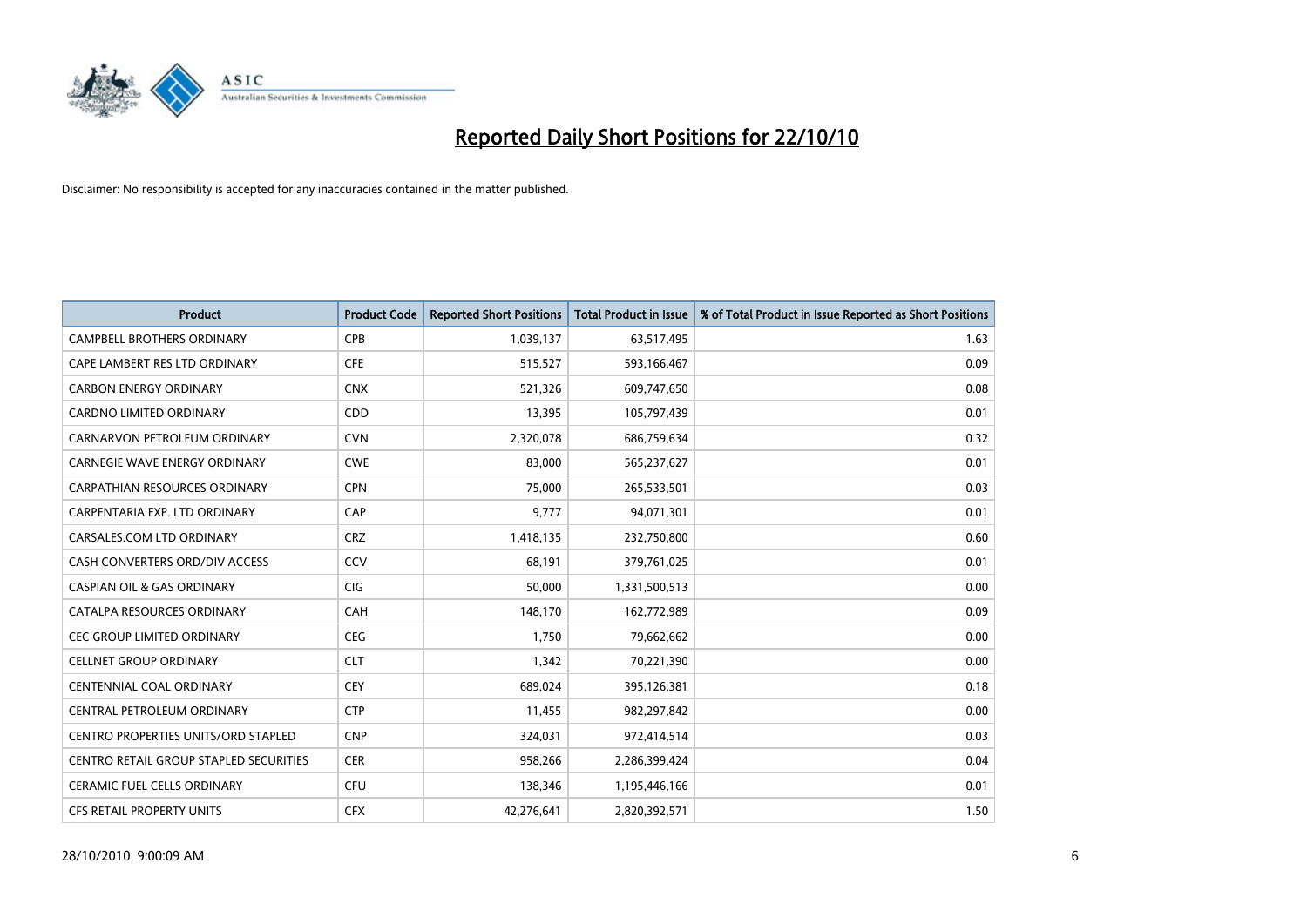

| <b>Product</b>                                | <b>Product Code</b> | <b>Reported Short Positions</b> | <b>Total Product in Issue</b> | % of Total Product in Issue Reported as Short Positions |
|-----------------------------------------------|---------------------|---------------------------------|-------------------------------|---------------------------------------------------------|
| <b>CAMPBELL BROTHERS ORDINARY</b>             | <b>CPB</b>          | 1,039,137                       | 63,517,495                    | 1.63                                                    |
| CAPE LAMBERT RES LTD ORDINARY                 | <b>CFE</b>          | 515,527                         | 593,166,467                   | 0.09                                                    |
| <b>CARBON ENERGY ORDINARY</b>                 | <b>CNX</b>          | 521,326                         | 609,747,650                   | 0.08                                                    |
| CARDNO LIMITED ORDINARY                       | CDD                 | 13,395                          | 105,797,439                   | 0.01                                                    |
| CARNARVON PETROLEUM ORDINARY                  | <b>CVN</b>          | 2,320,078                       | 686,759,634                   | 0.32                                                    |
| <b>CARNEGIE WAVE ENERGY ORDINARY</b>          | <b>CWE</b>          | 83,000                          | 565,237,627                   | 0.01                                                    |
| <b>CARPATHIAN RESOURCES ORDINARY</b>          | <b>CPN</b>          | 75.000                          | 265,533,501                   | 0.03                                                    |
| CARPENTARIA EXP. LTD ORDINARY                 | CAP                 | 9,777                           | 94,071,301                    | 0.01                                                    |
| CARSALES.COM LTD ORDINARY                     | <b>CRZ</b>          | 1,418,135                       | 232,750,800                   | 0.60                                                    |
| CASH CONVERTERS ORD/DIV ACCESS                | CCV                 | 68,191                          | 379,761,025                   | 0.01                                                    |
| <b>CASPIAN OIL &amp; GAS ORDINARY</b>         | <b>CIG</b>          | 50,000                          | 1,331,500,513                 | 0.00                                                    |
| CATALPA RESOURCES ORDINARY                    | <b>CAH</b>          | 148,170                         | 162,772,989                   | 0.09                                                    |
| <b>CEC GROUP LIMITED ORDINARY</b>             | <b>CEG</b>          | 1,750                           | 79,662,662                    | 0.00                                                    |
| <b>CELLNET GROUP ORDINARY</b>                 | <b>CLT</b>          | 1,342                           | 70,221,390                    | 0.00                                                    |
| <b>CENTENNIAL COAL ORDINARY</b>               | <b>CEY</b>          | 689,024                         | 395,126,381                   | 0.18                                                    |
| CENTRAL PETROLEUM ORDINARY                    | <b>CTP</b>          | 11,455                          | 982,297,842                   | 0.00                                                    |
| <b>CENTRO PROPERTIES UNITS/ORD STAPLED</b>    | <b>CNP</b>          | 324,031                         | 972,414,514                   | 0.03                                                    |
| <b>CENTRO RETAIL GROUP STAPLED SECURITIES</b> | <b>CER</b>          | 958,266                         | 2,286,399,424                 | 0.04                                                    |
| <b>CERAMIC FUEL CELLS ORDINARY</b>            | <b>CFU</b>          | 138,346                         | 1,195,446,166                 | 0.01                                                    |
| <b>CFS RETAIL PROPERTY UNITS</b>              | <b>CFX</b>          | 42.276.641                      | 2,820,392,571                 | 1.50                                                    |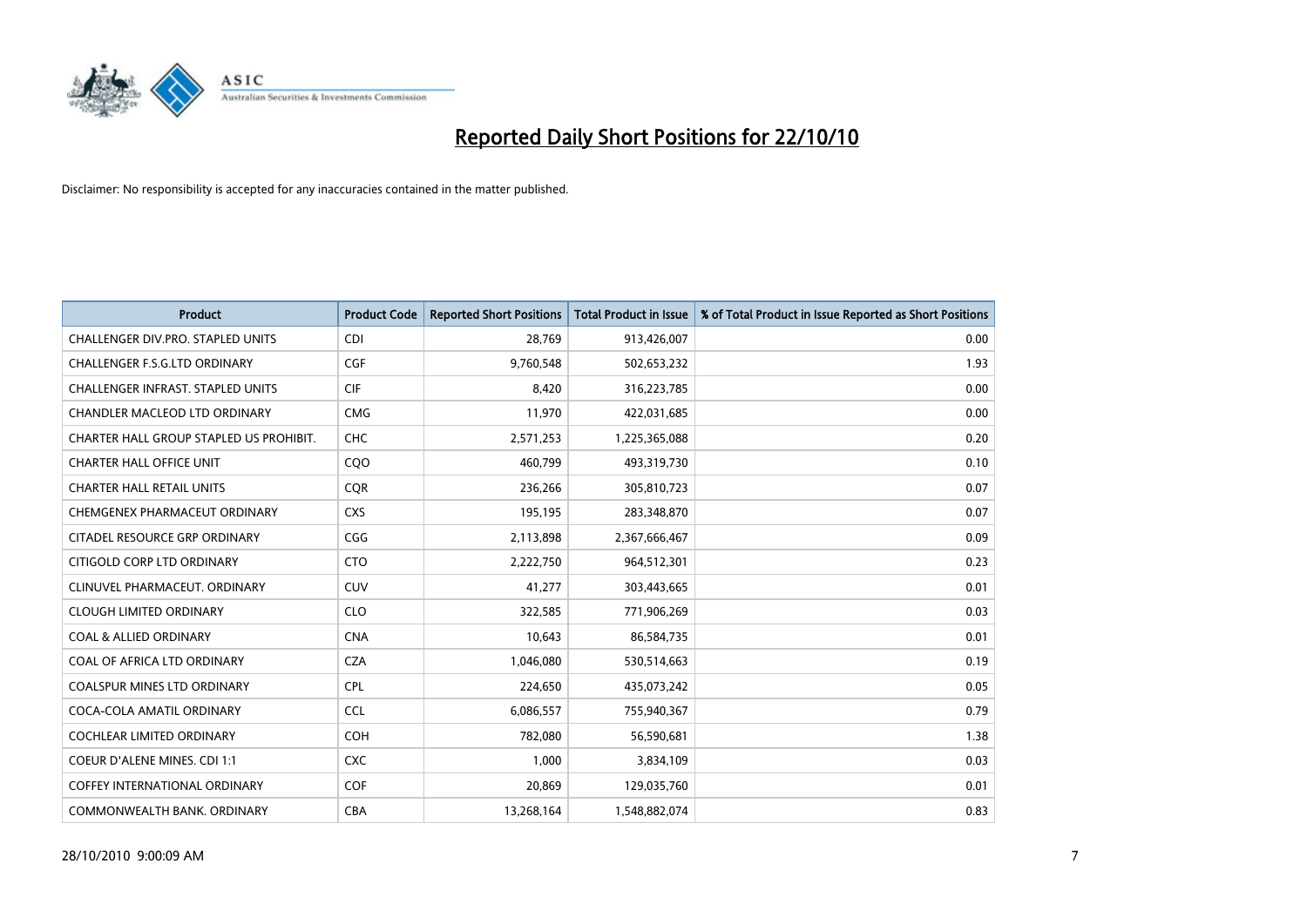

| <b>Product</b>                           | <b>Product Code</b> | <b>Reported Short Positions</b> | <b>Total Product in Issue</b> | % of Total Product in Issue Reported as Short Positions |
|------------------------------------------|---------------------|---------------------------------|-------------------------------|---------------------------------------------------------|
| <b>CHALLENGER DIV.PRO. STAPLED UNITS</b> | <b>CDI</b>          | 28.769                          | 913,426,007                   | 0.00                                                    |
| CHALLENGER F.S.G.LTD ORDINARY            | <b>CGF</b>          | 9,760,548                       | 502,653,232                   | 1.93                                                    |
| CHALLENGER INFRAST. STAPLED UNITS        | <b>CIF</b>          | 8,420                           | 316,223,785                   | 0.00                                                    |
| CHANDLER MACLEOD LTD ORDINARY            | <b>CMG</b>          | 11,970                          | 422,031,685                   | 0.00                                                    |
| CHARTER HALL GROUP STAPLED US PROHIBIT.  | <b>CHC</b>          | 2,571,253                       | 1,225,365,088                 | 0.20                                                    |
| <b>CHARTER HALL OFFICE UNIT</b>          | COO                 | 460,799                         | 493,319,730                   | 0.10                                                    |
| <b>CHARTER HALL RETAIL UNITS</b>         | <b>COR</b>          | 236,266                         | 305,810,723                   | 0.07                                                    |
| CHEMGENEX PHARMACEUT ORDINARY            | <b>CXS</b>          | 195,195                         | 283,348,870                   | 0.07                                                    |
| CITADEL RESOURCE GRP ORDINARY            | CGG                 | 2,113,898                       | 2,367,666,467                 | 0.09                                                    |
| CITIGOLD CORP LTD ORDINARY               | <b>CTO</b>          | 2,222,750                       | 964,512,301                   | 0.23                                                    |
| CLINUVEL PHARMACEUT, ORDINARY            | <b>CUV</b>          | 41,277                          | 303,443,665                   | 0.01                                                    |
| <b>CLOUGH LIMITED ORDINARY</b>           | <b>CLO</b>          | 322,585                         | 771,906,269                   | 0.03                                                    |
| <b>COAL &amp; ALLIED ORDINARY</b>        | <b>CNA</b>          | 10,643                          | 86,584,735                    | 0.01                                                    |
| COAL OF AFRICA LTD ORDINARY              | <b>CZA</b>          | 1,046,080                       | 530,514,663                   | 0.19                                                    |
| <b>COALSPUR MINES LTD ORDINARY</b>       | <b>CPL</b>          | 224,650                         | 435,073,242                   | 0.05                                                    |
| COCA-COLA AMATIL ORDINARY                | <b>CCL</b>          | 6,086,557                       | 755,940,367                   | 0.79                                                    |
| COCHLEAR LIMITED ORDINARY                | <b>COH</b>          | 782,080                         | 56,590,681                    | 1.38                                                    |
| <b>COEUR D'ALENE MINES. CDI 1:1</b>      | <b>CXC</b>          | 1.000                           | 3,834,109                     | 0.03                                                    |
| <b>COFFEY INTERNATIONAL ORDINARY</b>     | <b>COF</b>          | 20,869                          | 129,035,760                   | 0.01                                                    |
| COMMONWEALTH BANK, ORDINARY              | <b>CBA</b>          | 13,268,164                      | 1,548,882,074                 | 0.83                                                    |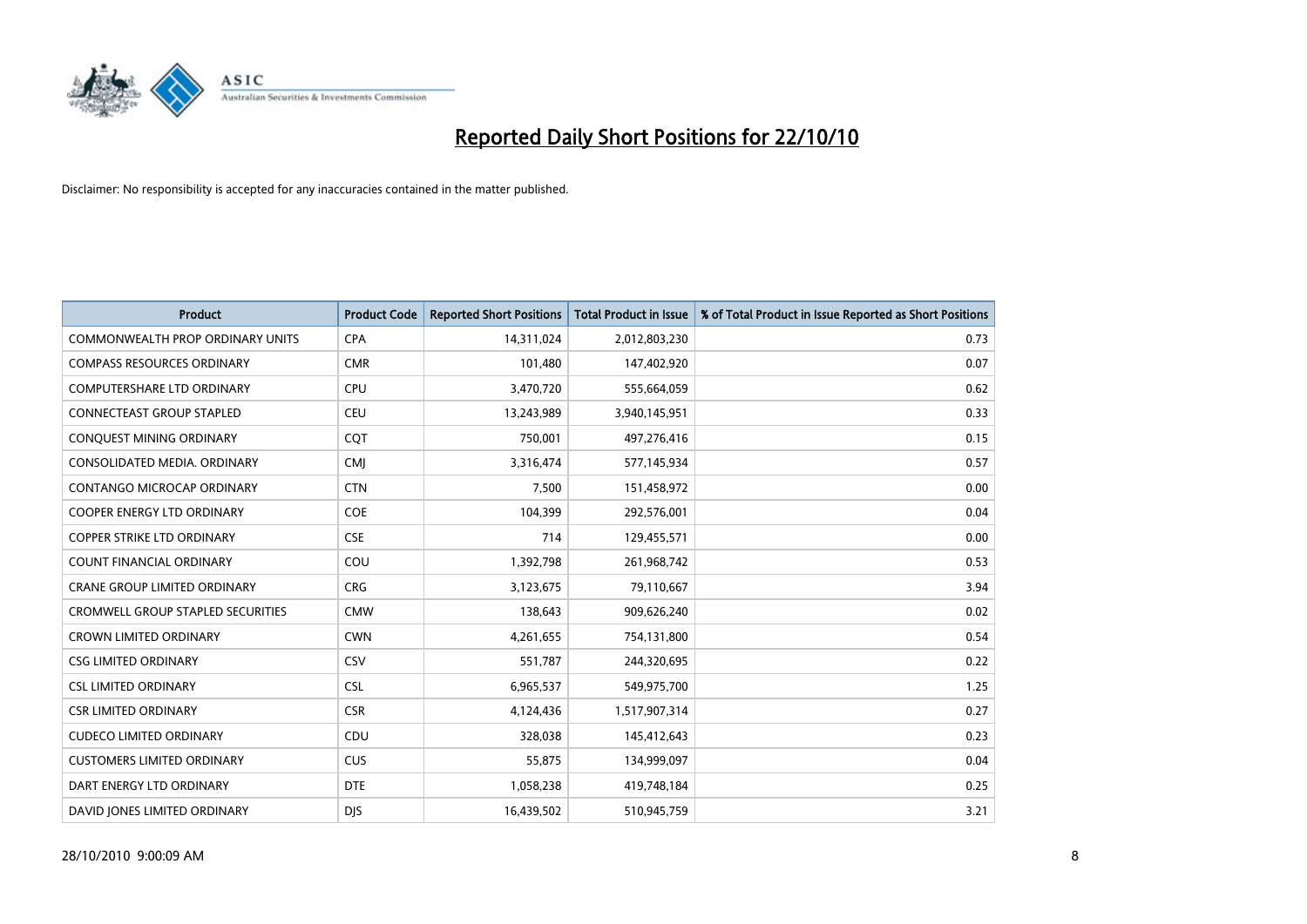

| <b>Product</b>                           | <b>Product Code</b> | <b>Reported Short Positions</b> | Total Product in Issue | % of Total Product in Issue Reported as Short Positions |
|------------------------------------------|---------------------|---------------------------------|------------------------|---------------------------------------------------------|
| <b>COMMONWEALTH PROP ORDINARY UNITS</b>  | <b>CPA</b>          | 14,311,024                      | 2,012,803,230          | 0.73                                                    |
| <b>COMPASS RESOURCES ORDINARY</b>        | <b>CMR</b>          | 101,480                         | 147,402,920            | 0.07                                                    |
| <b>COMPUTERSHARE LTD ORDINARY</b>        | <b>CPU</b>          | 3,470,720                       | 555,664,059            | 0.62                                                    |
| CONNECTEAST GROUP STAPLED                | <b>CEU</b>          | 13,243,989                      | 3,940,145,951          | 0.33                                                    |
| CONQUEST MINING ORDINARY                 | <b>COT</b>          | 750,001                         | 497,276,416            | 0.15                                                    |
| CONSOLIDATED MEDIA, ORDINARY             | <b>CMI</b>          | 3,316,474                       | 577,145,934            | 0.57                                                    |
| CONTANGO MICROCAP ORDINARY               | <b>CTN</b>          | 7,500                           | 151,458,972            | 0.00                                                    |
| COOPER ENERGY LTD ORDINARY               | <b>COE</b>          | 104,399                         | 292,576,001            | 0.04                                                    |
| COPPER STRIKE LTD ORDINARY               | <b>CSE</b>          | 714                             | 129,455,571            | 0.00                                                    |
| <b>COUNT FINANCIAL ORDINARY</b>          | COU                 | 1,392,798                       | 261,968,742            | 0.53                                                    |
| <b>CRANE GROUP LIMITED ORDINARY</b>      | <b>CRG</b>          | 3,123,675                       | 79,110,667             | 3.94                                                    |
| <b>CROMWELL GROUP STAPLED SECURITIES</b> | <b>CMW</b>          | 138,643                         | 909,626,240            | 0.02                                                    |
| <b>CROWN LIMITED ORDINARY</b>            | <b>CWN</b>          | 4,261,655                       | 754,131,800            | 0.54                                                    |
| <b>CSG LIMITED ORDINARY</b>              | CSV                 | 551,787                         | 244,320,695            | 0.22                                                    |
| <b>CSL LIMITED ORDINARY</b>              | <b>CSL</b>          | 6,965,537                       | 549,975,700            | 1.25                                                    |
| <b>CSR LIMITED ORDINARY</b>              | <b>CSR</b>          | 4,124,436                       | 1,517,907,314          | 0.27                                                    |
| <b>CUDECO LIMITED ORDINARY</b>           | CDU                 | 328,038                         | 145,412,643            | 0.23                                                    |
| <b>CUSTOMERS LIMITED ORDINARY</b>        | <b>CUS</b>          | 55,875                          | 134,999,097            | 0.04                                                    |
| DART ENERGY LTD ORDINARY                 | <b>DTE</b>          | 1,058,238                       | 419,748,184            | 0.25                                                    |
| DAVID JONES LIMITED ORDINARY             | <b>DIS</b>          | 16,439,502                      | 510,945,759            | 3.21                                                    |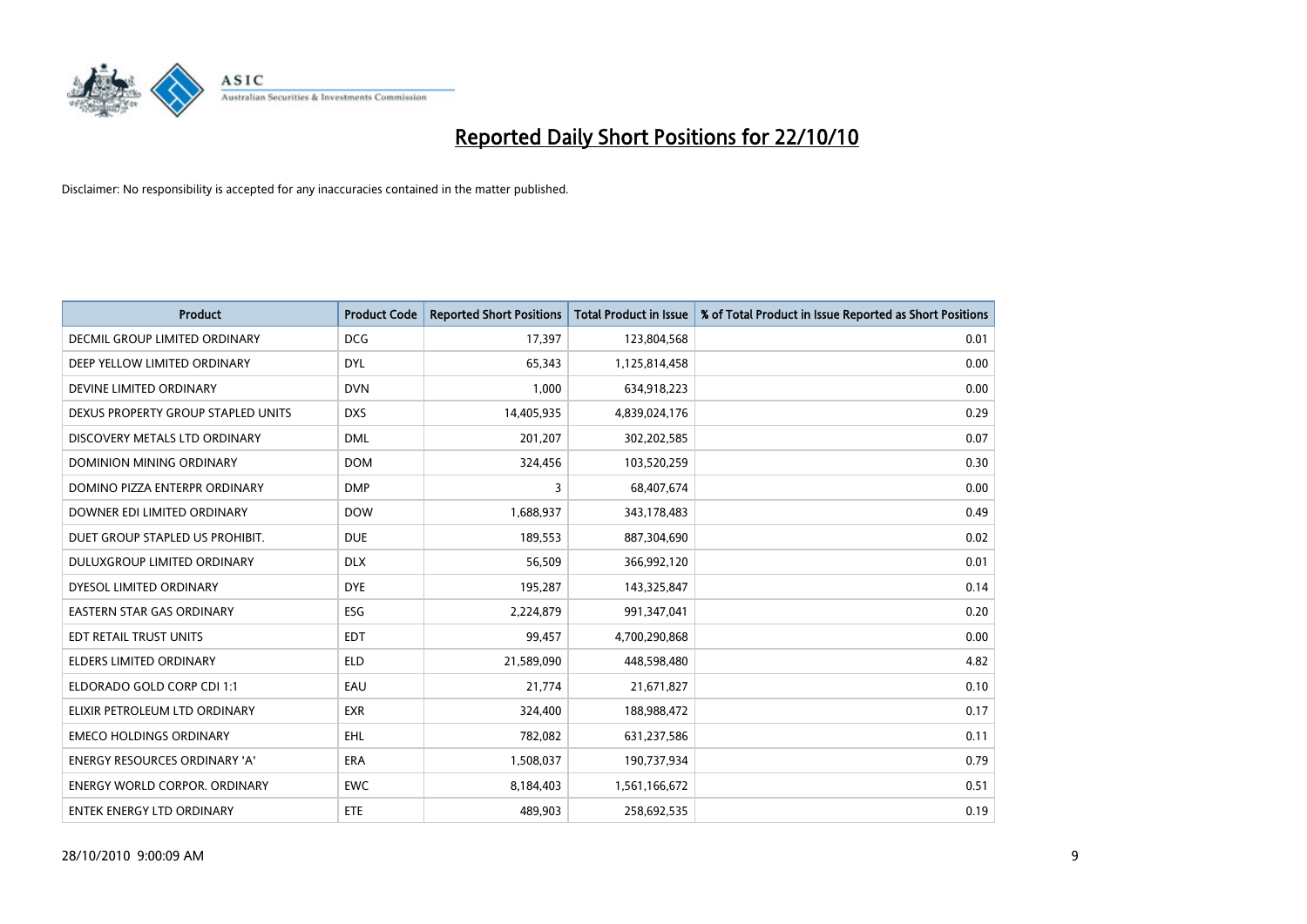

| <b>Product</b>                       | <b>Product Code</b> | <b>Reported Short Positions</b> | <b>Total Product in Issue</b> | % of Total Product in Issue Reported as Short Positions |
|--------------------------------------|---------------------|---------------------------------|-------------------------------|---------------------------------------------------------|
| DECMIL GROUP LIMITED ORDINARY        | <b>DCG</b>          | 17,397                          | 123,804,568                   | 0.01                                                    |
| DEEP YELLOW LIMITED ORDINARY         | <b>DYL</b>          | 65,343                          | 1,125,814,458                 | 0.00                                                    |
| DEVINE LIMITED ORDINARY              | <b>DVN</b>          | 1,000                           | 634,918,223                   | 0.00                                                    |
| DEXUS PROPERTY GROUP STAPLED UNITS   | <b>DXS</b>          | 14,405,935                      | 4,839,024,176                 | 0.29                                                    |
| DISCOVERY METALS LTD ORDINARY        | <b>DML</b>          | 201,207                         | 302,202,585                   | 0.07                                                    |
| <b>DOMINION MINING ORDINARY</b>      | <b>DOM</b>          | 324,456                         | 103,520,259                   | 0.30                                                    |
| DOMINO PIZZA ENTERPR ORDINARY        | <b>DMP</b>          | 3                               | 68,407,674                    | 0.00                                                    |
| DOWNER EDI LIMITED ORDINARY          | <b>DOW</b>          | 1,688,937                       | 343,178,483                   | 0.49                                                    |
| DUET GROUP STAPLED US PROHIBIT.      | <b>DUE</b>          | 189,553                         | 887,304,690                   | 0.02                                                    |
| DULUXGROUP LIMITED ORDINARY          | <b>DLX</b>          | 56,509                          | 366,992,120                   | 0.01                                                    |
| DYESOL LIMITED ORDINARY              | <b>DYE</b>          | 195,287                         | 143,325,847                   | 0.14                                                    |
| <b>EASTERN STAR GAS ORDINARY</b>     | ESG                 | 2,224,879                       | 991,347,041                   | 0.20                                                    |
| EDT RETAIL TRUST UNITS               | <b>EDT</b>          | 99,457                          | 4,700,290,868                 | 0.00                                                    |
| <b>ELDERS LIMITED ORDINARY</b>       | <b>ELD</b>          | 21,589,090                      | 448,598,480                   | 4.82                                                    |
| ELDORADO GOLD CORP CDI 1:1           | EAU                 | 21,774                          | 21,671,827                    | 0.10                                                    |
| ELIXIR PETROLEUM LTD ORDINARY        | <b>EXR</b>          | 324,400                         | 188,988,472                   | 0.17                                                    |
| <b>EMECO HOLDINGS ORDINARY</b>       | <b>EHL</b>          | 782,082                         | 631,237,586                   | 0.11                                                    |
| ENERGY RESOURCES ORDINARY 'A'        | <b>ERA</b>          | 1,508,037                       | 190,737,934                   | 0.79                                                    |
| <b>ENERGY WORLD CORPOR, ORDINARY</b> | <b>EWC</b>          | 8,184,403                       | 1,561,166,672                 | 0.51                                                    |
| <b>ENTEK ENERGY LTD ORDINARY</b>     | ETE                 | 489.903                         | 258,692,535                   | 0.19                                                    |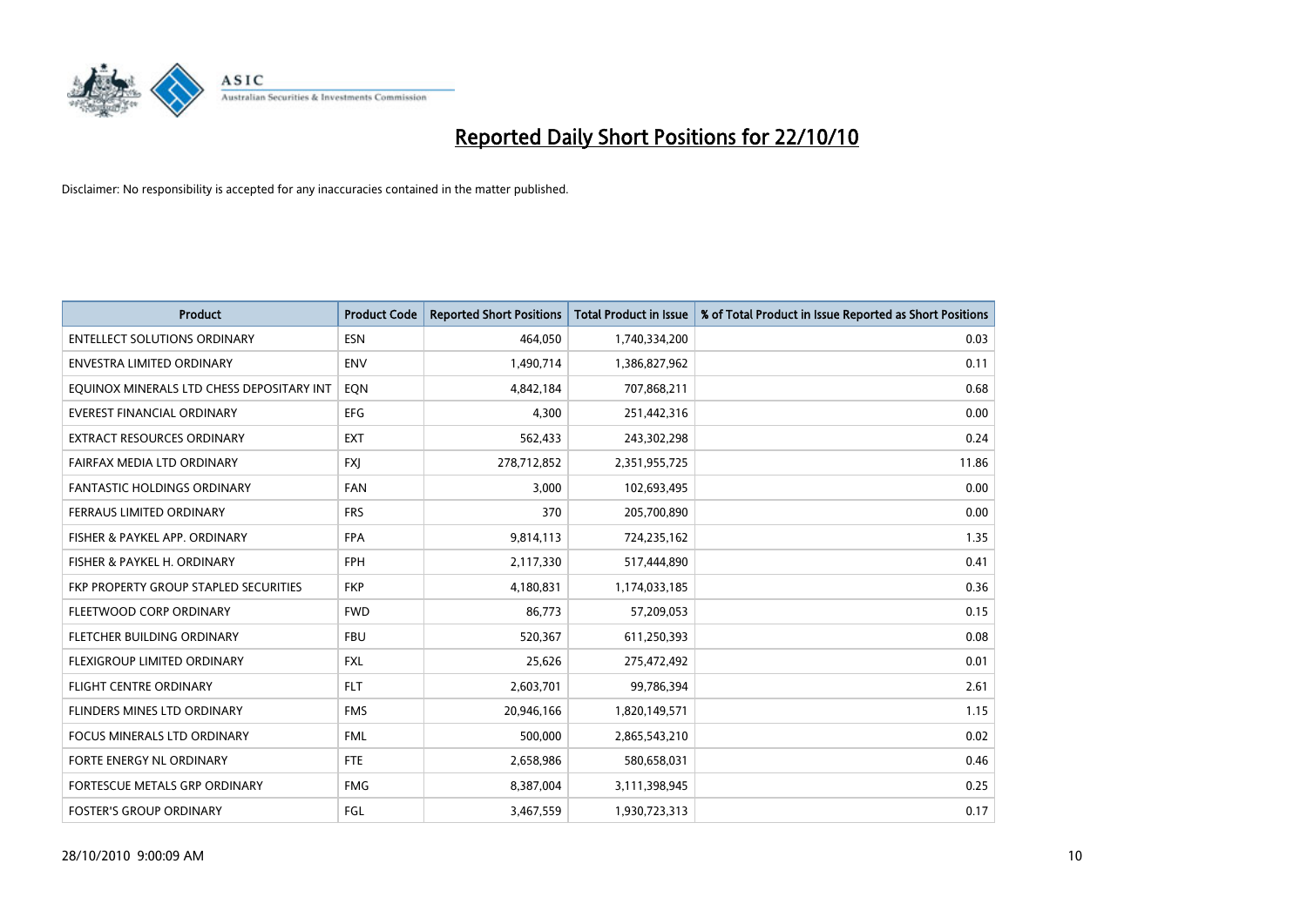

| <b>Product</b>                            | <b>Product Code</b> | <b>Reported Short Positions</b> | <b>Total Product in Issue</b> | % of Total Product in Issue Reported as Short Positions |
|-------------------------------------------|---------------------|---------------------------------|-------------------------------|---------------------------------------------------------|
| <b>ENTELLECT SOLUTIONS ORDINARY</b>       | <b>ESN</b>          | 464,050                         | 1,740,334,200                 | 0.03                                                    |
| ENVESTRA LIMITED ORDINARY                 | <b>ENV</b>          | 1,490,714                       | 1,386,827,962                 | 0.11                                                    |
| EQUINOX MINERALS LTD CHESS DEPOSITARY INT | EON                 | 4,842,184                       | 707,868,211                   | 0.68                                                    |
| EVEREST FINANCIAL ORDINARY                | <b>EFG</b>          | 4,300                           | 251,442,316                   | 0.00                                                    |
| <b>EXTRACT RESOURCES ORDINARY</b>         | <b>EXT</b>          | 562,433                         | 243,302,298                   | 0.24                                                    |
| FAIRFAX MEDIA LTD ORDINARY                | <b>FXI</b>          | 278,712,852                     | 2,351,955,725                 | 11.86                                                   |
| <b>FANTASTIC HOLDINGS ORDINARY</b>        | <b>FAN</b>          | 3,000                           | 102,693,495                   | 0.00                                                    |
| FERRAUS LIMITED ORDINARY                  | <b>FRS</b>          | 370                             | 205,700,890                   | 0.00                                                    |
| FISHER & PAYKEL APP. ORDINARY             | <b>FPA</b>          | 9,814,113                       | 724,235,162                   | 1.35                                                    |
| FISHER & PAYKEL H. ORDINARY               | <b>FPH</b>          | 2,117,330                       | 517,444,890                   | 0.41                                                    |
| FKP PROPERTY GROUP STAPLED SECURITIES     | <b>FKP</b>          | 4,180,831                       | 1,174,033,185                 | 0.36                                                    |
| FLEETWOOD CORP ORDINARY                   | <b>FWD</b>          | 86,773                          | 57,209,053                    | 0.15                                                    |
| FLETCHER BUILDING ORDINARY                | <b>FBU</b>          | 520,367                         | 611,250,393                   | 0.08                                                    |
| FLEXIGROUP LIMITED ORDINARY               | <b>FXL</b>          | 25,626                          | 275,472,492                   | 0.01                                                    |
| <b>FLIGHT CENTRE ORDINARY</b>             | <b>FLT</b>          | 2,603,701                       | 99,786,394                    | 2.61                                                    |
| FLINDERS MINES LTD ORDINARY               | <b>FMS</b>          | 20,946,166                      | 1,820,149,571                 | 1.15                                                    |
| <b>FOCUS MINERALS LTD ORDINARY</b>        | <b>FML</b>          | 500,000                         | 2,865,543,210                 | 0.02                                                    |
| FORTE ENERGY NL ORDINARY                  | <b>FTE</b>          | 2,658,986                       | 580,658,031                   | 0.46                                                    |
| FORTESCUE METALS GRP ORDINARY             | <b>FMG</b>          | 8,387,004                       | 3,111,398,945                 | 0.25                                                    |
| <b>FOSTER'S GROUP ORDINARY</b>            | FGL                 | 3,467,559                       | 1,930,723,313                 | 0.17                                                    |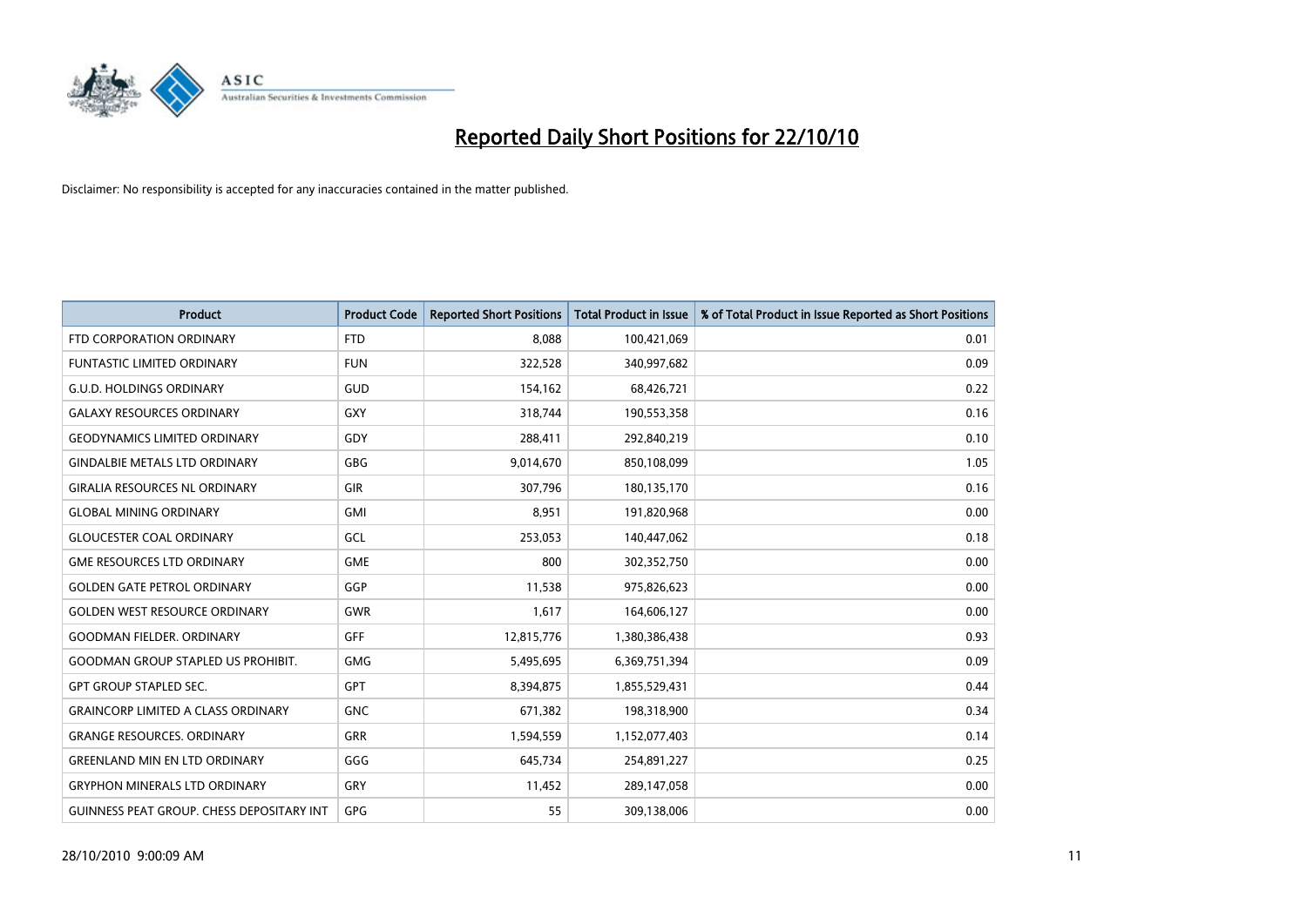

| <b>Product</b>                                   | <b>Product Code</b> | <b>Reported Short Positions</b> | <b>Total Product in Issue</b> | % of Total Product in Issue Reported as Short Positions |
|--------------------------------------------------|---------------------|---------------------------------|-------------------------------|---------------------------------------------------------|
| FTD CORPORATION ORDINARY                         | <b>FTD</b>          | 8,088                           | 100,421,069                   | 0.01                                                    |
| <b>FUNTASTIC LIMITED ORDINARY</b>                | <b>FUN</b>          | 322,528                         | 340,997,682                   | 0.09                                                    |
| <b>G.U.D. HOLDINGS ORDINARY</b>                  | GUD                 | 154,162                         | 68,426,721                    | 0.22                                                    |
| <b>GALAXY RESOURCES ORDINARY</b>                 | GXY                 | 318,744                         | 190,553,358                   | 0.16                                                    |
| <b>GEODYNAMICS LIMITED ORDINARY</b>              | GDY                 | 288,411                         | 292,840,219                   | 0.10                                                    |
| <b>GINDALBIE METALS LTD ORDINARY</b>             | <b>GBG</b>          | 9,014,670                       | 850,108,099                   | 1.05                                                    |
| <b>GIRALIA RESOURCES NL ORDINARY</b>             | <b>GIR</b>          | 307.796                         | 180,135,170                   | 0.16                                                    |
| <b>GLOBAL MINING ORDINARY</b>                    | <b>GMI</b>          | 8,951                           | 191,820,968                   | 0.00                                                    |
| <b>GLOUCESTER COAL ORDINARY</b>                  | GCL                 | 253,053                         | 140,447,062                   | 0.18                                                    |
| <b>GME RESOURCES LTD ORDINARY</b>                | <b>GME</b>          | 800                             | 302,352,750                   | 0.00                                                    |
| <b>GOLDEN GATE PETROL ORDINARY</b>               | GGP                 | 11,538                          | 975,826,623                   | 0.00                                                    |
| <b>GOLDEN WEST RESOURCE ORDINARY</b>             | <b>GWR</b>          | 1,617                           | 164,606,127                   | 0.00                                                    |
| <b>GOODMAN FIELDER, ORDINARY</b>                 | <b>GFF</b>          | 12,815,776                      | 1,380,386,438                 | 0.93                                                    |
| <b>GOODMAN GROUP STAPLED US PROHIBIT.</b>        | <b>GMG</b>          | 5,495,695                       | 6,369,751,394                 | 0.09                                                    |
| GPT GROUP STAPLED SEC.                           | <b>GPT</b>          | 8,394,875                       | 1,855,529,431                 | 0.44                                                    |
| <b>GRAINCORP LIMITED A CLASS ORDINARY</b>        | <b>GNC</b>          | 671,382                         | 198,318,900                   | 0.34                                                    |
| <b>GRANGE RESOURCES, ORDINARY</b>                | <b>GRR</b>          | 1,594,559                       | 1,152,077,403                 | 0.14                                                    |
| <b>GREENLAND MIN EN LTD ORDINARY</b>             | GGG                 | 645,734                         | 254,891,227                   | 0.25                                                    |
| <b>GRYPHON MINERALS LTD ORDINARY</b>             | GRY                 | 11,452                          | 289,147,058                   | 0.00                                                    |
| <b>GUINNESS PEAT GROUP. CHESS DEPOSITARY INT</b> | GPG                 | 55                              | 309,138,006                   | 0.00                                                    |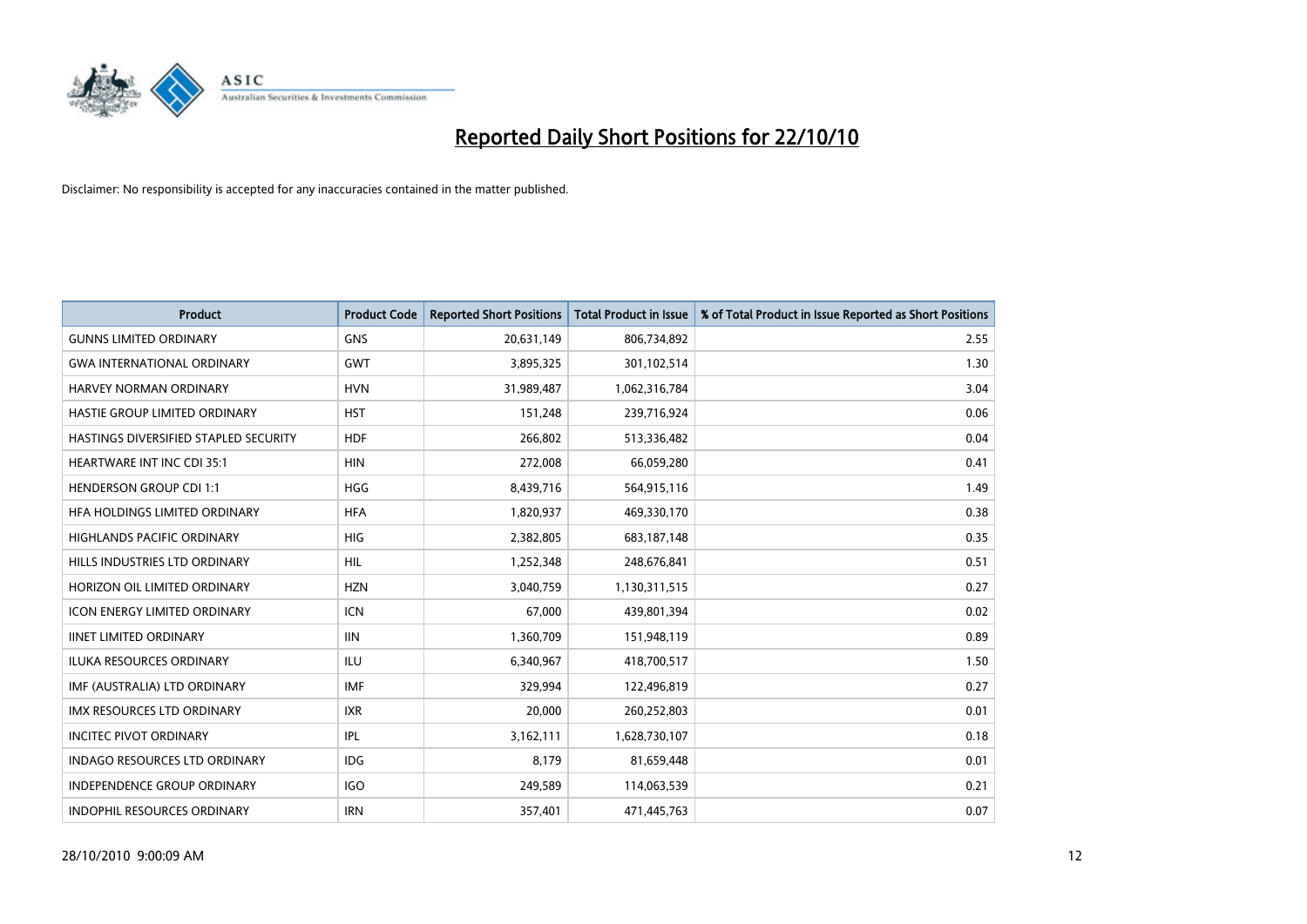

| <b>Product</b>                        | <b>Product Code</b> | <b>Reported Short Positions</b> | Total Product in Issue | % of Total Product in Issue Reported as Short Positions |
|---------------------------------------|---------------------|---------------------------------|------------------------|---------------------------------------------------------|
| <b>GUNNS LIMITED ORDINARY</b>         | <b>GNS</b>          | 20,631,149                      | 806,734,892            | 2.55                                                    |
| <b>GWA INTERNATIONAL ORDINARY</b>     | <b>GWT</b>          | 3,895,325                       | 301,102,514            | 1.30                                                    |
| HARVEY NORMAN ORDINARY                | <b>HVN</b>          | 31,989,487                      | 1,062,316,784          | 3.04                                                    |
| HASTIE GROUP LIMITED ORDINARY         | <b>HST</b>          | 151,248                         | 239,716,924            | 0.06                                                    |
| HASTINGS DIVERSIFIED STAPLED SECURITY | <b>HDF</b>          | 266,802                         | 513,336,482            | 0.04                                                    |
| <b>HEARTWARE INT INC CDI 35:1</b>     | <b>HIN</b>          | 272,008                         | 66,059,280             | 0.41                                                    |
| <b>HENDERSON GROUP CDI 1:1</b>        | <b>HGG</b>          | 8,439,716                       | 564,915,116            | 1.49                                                    |
| HFA HOLDINGS LIMITED ORDINARY         | <b>HFA</b>          | 1,820,937                       | 469,330,170            | 0.38                                                    |
| <b>HIGHLANDS PACIFIC ORDINARY</b>     | <b>HIG</b>          | 2,382,805                       | 683,187,148            | 0.35                                                    |
| HILLS INDUSTRIES LTD ORDINARY         | <b>HIL</b>          | 1,252,348                       | 248,676,841            | 0.51                                                    |
| HORIZON OIL LIMITED ORDINARY          | <b>HZN</b>          | 3,040,759                       | 1,130,311,515          | 0.27                                                    |
| <b>ICON ENERGY LIMITED ORDINARY</b>   | <b>ICN</b>          | 67,000                          | 439,801,394            | 0.02                                                    |
| <b>IINET LIMITED ORDINARY</b>         | <b>IIN</b>          | 1,360,709                       | 151,948,119            | 0.89                                                    |
| ILUKA RESOURCES ORDINARY              | ILU                 | 6,340,967                       | 418,700,517            | 1.50                                                    |
| IMF (AUSTRALIA) LTD ORDINARY          | IMF                 | 329,994                         | 122,496,819            | 0.27                                                    |
| IMX RESOURCES LTD ORDINARY            | <b>IXR</b>          | 20,000                          | 260,252,803            | 0.01                                                    |
| <b>INCITEC PIVOT ORDINARY</b>         | <b>IPL</b>          | 3,162,111                       | 1,628,730,107          | 0.18                                                    |
| INDAGO RESOURCES LTD ORDINARY         | <b>IDG</b>          | 8,179                           | 81,659,448             | 0.01                                                    |
| <b>INDEPENDENCE GROUP ORDINARY</b>    | <b>IGO</b>          | 249,589                         | 114,063,539            | 0.21                                                    |
| INDOPHIL RESOURCES ORDINARY           | <b>IRN</b>          | 357,401                         | 471,445,763            | 0.07                                                    |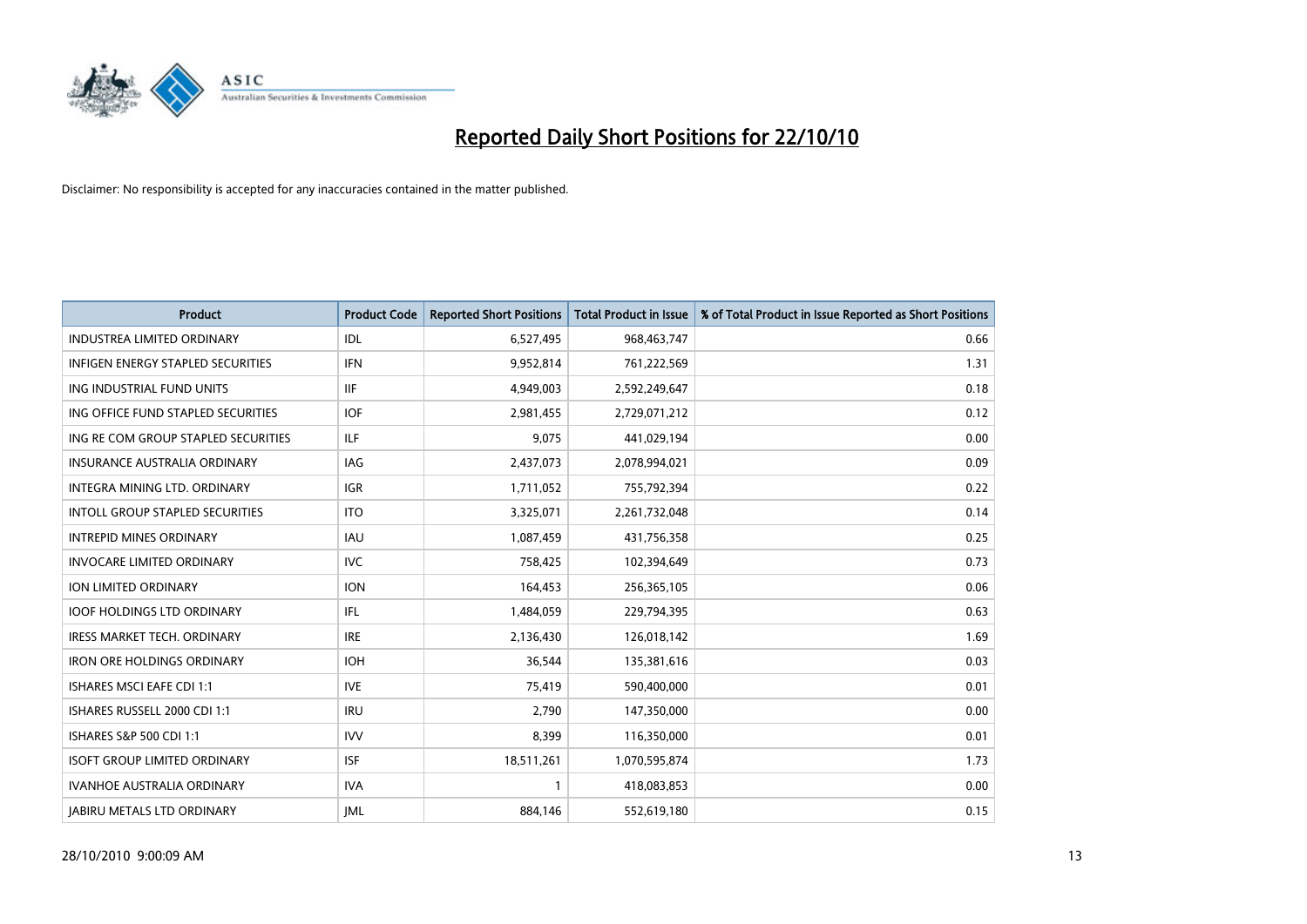

| <b>Product</b>                         | <b>Product Code</b> | <b>Reported Short Positions</b> | Total Product in Issue | % of Total Product in Issue Reported as Short Positions |
|----------------------------------------|---------------------|---------------------------------|------------------------|---------------------------------------------------------|
| <b>INDUSTREA LIMITED ORDINARY</b>      | IDL                 | 6,527,495                       | 968,463,747            | 0.66                                                    |
| INFIGEN ENERGY STAPLED SECURITIES      | <b>IFN</b>          | 9,952,814                       | 761,222,569            | 1.31                                                    |
| ING INDUSTRIAL FUND UNITS              | <b>IIF</b>          | 4,949,003                       | 2,592,249,647          | 0.18                                                    |
| ING OFFICE FUND STAPLED SECURITIES     | <b>IOF</b>          | 2,981,455                       | 2,729,071,212          | 0.12                                                    |
| ING RE COM GROUP STAPLED SECURITIES    | <b>ILF</b>          | 9,075                           | 441,029,194            | 0.00                                                    |
| <b>INSURANCE AUSTRALIA ORDINARY</b>    | IAG                 | 2,437,073                       | 2,078,994,021          | 0.09                                                    |
| INTEGRA MINING LTD, ORDINARY           | <b>IGR</b>          | 1,711,052                       | 755,792,394            | 0.22                                                    |
| <b>INTOLL GROUP STAPLED SECURITIES</b> | <b>ITO</b>          | 3,325,071                       | 2,261,732,048          | 0.14                                                    |
| <b>INTREPID MINES ORDINARY</b>         | <b>IAU</b>          | 1,087,459                       | 431,756,358            | 0.25                                                    |
| <b>INVOCARE LIMITED ORDINARY</b>       | <b>IVC</b>          | 758,425                         | 102,394,649            | 0.73                                                    |
| ION LIMITED ORDINARY                   | <b>ION</b>          | 164,453                         | 256,365,105            | 0.06                                                    |
| <b>IOOF HOLDINGS LTD ORDINARY</b>      | IFL.                | 1,484,059                       | 229,794,395            | 0.63                                                    |
| <b>IRESS MARKET TECH. ORDINARY</b>     | <b>IRE</b>          | 2,136,430                       | 126,018,142            | 1.69                                                    |
| <b>IRON ORE HOLDINGS ORDINARY</b>      | <b>IOH</b>          | 36,544                          | 135,381,616            | 0.03                                                    |
| <b>ISHARES MSCI EAFE CDI 1:1</b>       | <b>IVE</b>          | 75,419                          | 590,400,000            | 0.01                                                    |
| ISHARES RUSSELL 2000 CDI 1:1           | <b>IRU</b>          | 2,790                           | 147,350,000            | 0.00                                                    |
| ISHARES S&P 500 CDI 1:1                | <b>IVV</b>          | 8,399                           | 116,350,000            | 0.01                                                    |
| <b>ISOFT GROUP LIMITED ORDINARY</b>    | <b>ISF</b>          | 18,511,261                      | 1,070,595,874          | 1.73                                                    |
| <b>IVANHOE AUSTRALIA ORDINARY</b>      | <b>IVA</b>          |                                 | 418,083,853            | 0.00                                                    |
| <b>JABIRU METALS LTD ORDINARY</b>      | <b>IML</b>          | 884,146                         | 552,619,180            | 0.15                                                    |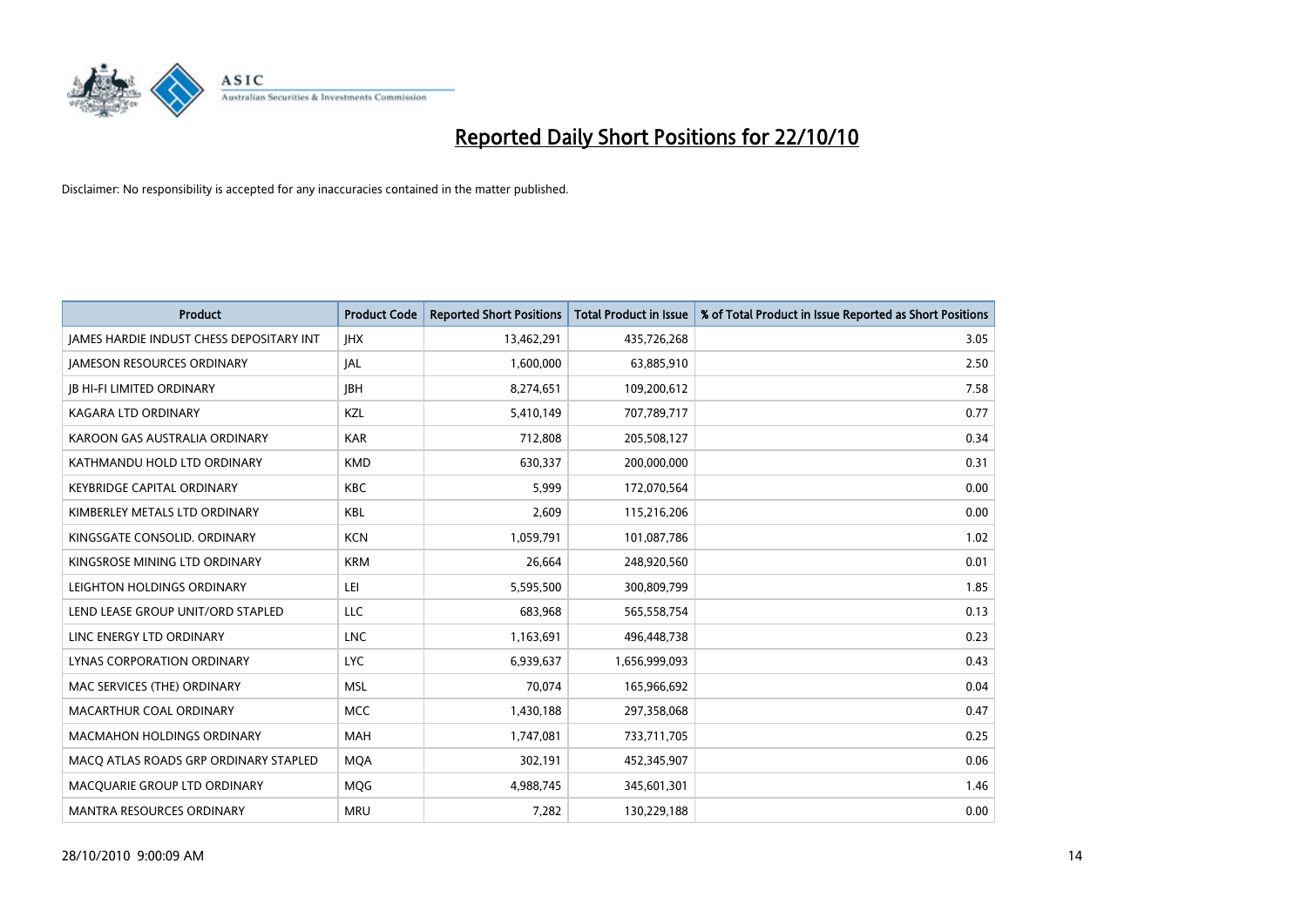

| <b>Product</b>                                  | <b>Product Code</b> | <b>Reported Short Positions</b> | <b>Total Product in Issue</b> | % of Total Product in Issue Reported as Short Positions |
|-------------------------------------------------|---------------------|---------------------------------|-------------------------------|---------------------------------------------------------|
| <b>JAMES HARDIE INDUST CHESS DEPOSITARY INT</b> | <b>IHX</b>          | 13,462,291                      | 435,726,268                   | 3.05                                                    |
| JAMESON RESOURCES ORDINARY                      | <b>JAL</b>          | 1,600,000                       | 63,885,910                    | 2.50                                                    |
| <b>JB HI-FI LIMITED ORDINARY</b>                | <b>IBH</b>          | 8,274,651                       | 109,200,612                   | 7.58                                                    |
| <b>KAGARA LTD ORDINARY</b>                      | KZL                 | 5,410,149                       | 707,789,717                   | 0.77                                                    |
| KAROON GAS AUSTRALIA ORDINARY                   | <b>KAR</b>          | 712,808                         | 205,508,127                   | 0.34                                                    |
| KATHMANDU HOLD LTD ORDINARY                     | <b>KMD</b>          | 630,337                         | 200,000,000                   | 0.31                                                    |
| <b>KEYBRIDGE CAPITAL ORDINARY</b>               | <b>KBC</b>          | 5,999                           | 172,070,564                   | 0.00                                                    |
| KIMBERLEY METALS LTD ORDINARY                   | <b>KBL</b>          | 2,609                           | 115,216,206                   | 0.00                                                    |
| KINGSGATE CONSOLID, ORDINARY                    | <b>KCN</b>          | 1,059,791                       | 101,087,786                   | 1.02                                                    |
| KINGSROSE MINING LTD ORDINARY                   | <b>KRM</b>          | 26.664                          | 248,920,560                   | 0.01                                                    |
| LEIGHTON HOLDINGS ORDINARY                      | LEI                 | 5,595,500                       | 300,809,799                   | 1.85                                                    |
| LEND LEASE GROUP UNIT/ORD STAPLED               | LLC                 | 683,968                         | 565,558,754                   | 0.13                                                    |
| LINC ENERGY LTD ORDINARY                        | <b>LNC</b>          | 1,163,691                       | 496,448,738                   | 0.23                                                    |
| LYNAS CORPORATION ORDINARY                      | <b>LYC</b>          | 6,939,637                       | 1,656,999,093                 | 0.43                                                    |
| MAC SERVICES (THE) ORDINARY                     | <b>MSL</b>          | 70.074                          | 165,966,692                   | 0.04                                                    |
| MACARTHUR COAL ORDINARY                         | <b>MCC</b>          | 1,430,188                       | 297,358,068                   | 0.47                                                    |
| <b>MACMAHON HOLDINGS ORDINARY</b>               | MAH                 | 1,747,081                       | 733,711,705                   | 0.25                                                    |
| MACO ATLAS ROADS GRP ORDINARY STAPLED           | <b>MOA</b>          | 302,191                         | 452,345,907                   | 0.06                                                    |
| MACQUARIE GROUP LTD ORDINARY                    | <b>MOG</b>          | 4,988,745                       | 345,601,301                   | 1.46                                                    |
| MANTRA RESOURCES ORDINARY                       | <b>MRU</b>          | 7,282                           | 130,229,188                   | 0.00                                                    |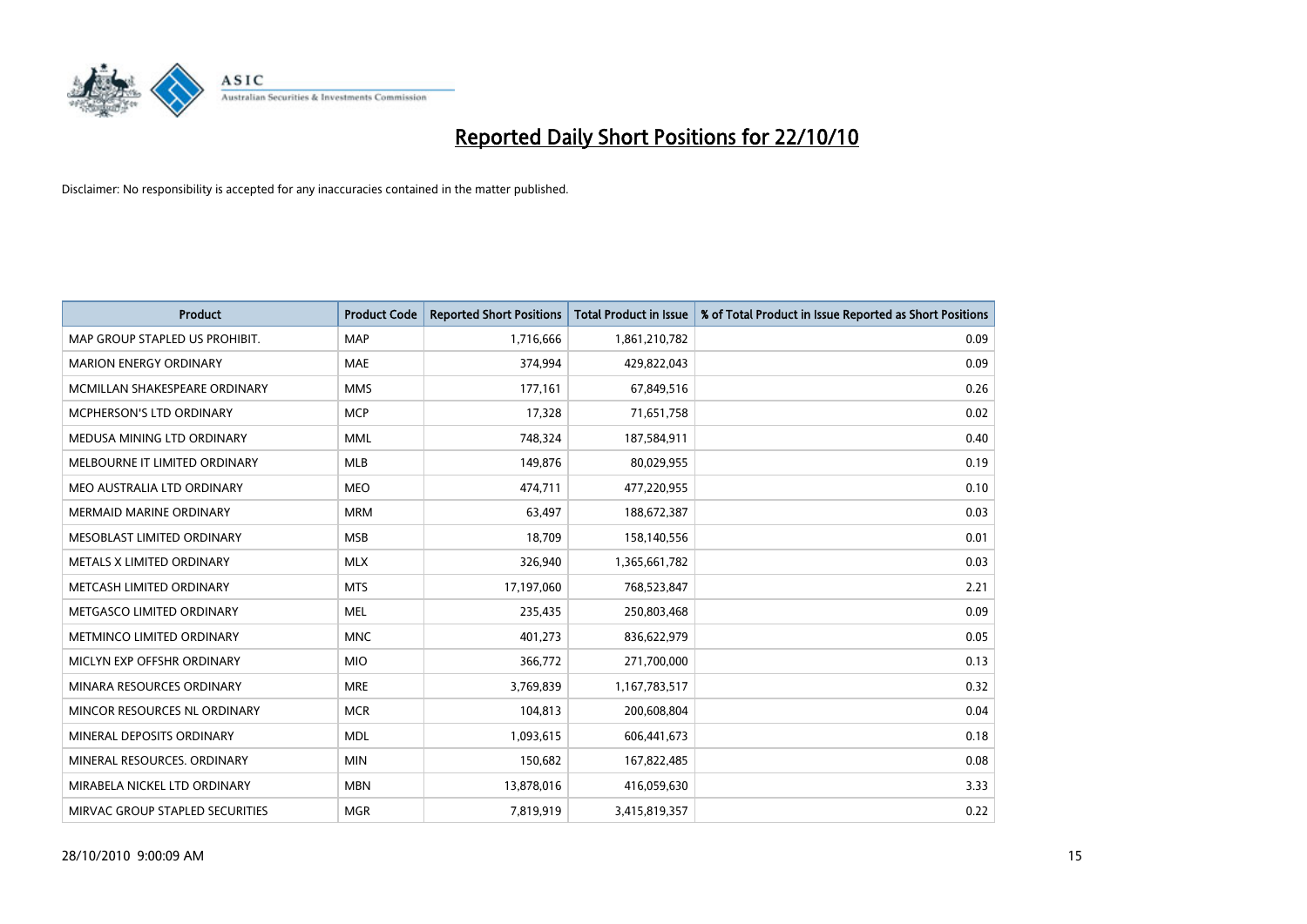

| <b>Product</b>                  | <b>Product Code</b> | <b>Reported Short Positions</b> | <b>Total Product in Issue</b> | % of Total Product in Issue Reported as Short Positions |
|---------------------------------|---------------------|---------------------------------|-------------------------------|---------------------------------------------------------|
| MAP GROUP STAPLED US PROHIBIT.  | <b>MAP</b>          | 1,716,666                       | 1,861,210,782                 | 0.09                                                    |
| <b>MARION ENERGY ORDINARY</b>   | <b>MAE</b>          | 374,994                         | 429,822,043                   | 0.09                                                    |
| MCMILLAN SHAKESPEARE ORDINARY   | <b>MMS</b>          | 177,161                         | 67,849,516                    | 0.26                                                    |
| MCPHERSON'S LTD ORDINARY        | <b>MCP</b>          | 17,328                          | 71,651,758                    | 0.02                                                    |
| MEDUSA MINING LTD ORDINARY      | <b>MML</b>          | 748,324                         | 187,584,911                   | 0.40                                                    |
| MELBOURNE IT LIMITED ORDINARY   | <b>MLB</b>          | 149,876                         | 80,029,955                    | 0.19                                                    |
| MEO AUSTRALIA LTD ORDINARY      | <b>MEO</b>          | 474,711                         | 477,220,955                   | 0.10                                                    |
| <b>MERMAID MARINE ORDINARY</b>  | <b>MRM</b>          | 63,497                          | 188,672,387                   | 0.03                                                    |
| MESOBLAST LIMITED ORDINARY      | <b>MSB</b>          | 18.709                          | 158,140,556                   | 0.01                                                    |
| METALS X LIMITED ORDINARY       | <b>MLX</b>          | 326,940                         | 1,365,661,782                 | 0.03                                                    |
| METCASH LIMITED ORDINARY        | <b>MTS</b>          | 17,197,060                      | 768,523,847                   | 2.21                                                    |
| METGASCO LIMITED ORDINARY       | <b>MEL</b>          | 235,435                         | 250,803,468                   | 0.09                                                    |
| METMINCO LIMITED ORDINARY       | <b>MNC</b>          | 401,273                         | 836,622,979                   | 0.05                                                    |
| MICLYN EXP OFFSHR ORDINARY      | <b>MIO</b>          | 366,772                         | 271,700,000                   | 0.13                                                    |
| MINARA RESOURCES ORDINARY       | <b>MRE</b>          | 3,769,839                       | 1,167,783,517                 | 0.32                                                    |
| MINCOR RESOURCES NL ORDINARY    | <b>MCR</b>          | 104,813                         | 200,608,804                   | 0.04                                                    |
| MINERAL DEPOSITS ORDINARY       | <b>MDL</b>          | 1,093,615                       | 606,441,673                   | 0.18                                                    |
| MINERAL RESOURCES. ORDINARY     | <b>MIN</b>          | 150,682                         | 167,822,485                   | 0.08                                                    |
| MIRABELA NICKEL LTD ORDINARY    | <b>MBN</b>          | 13,878,016                      | 416,059,630                   | 3.33                                                    |
| MIRVAC GROUP STAPLED SECURITIES | <b>MGR</b>          | 7,819,919                       | 3,415,819,357                 | 0.22                                                    |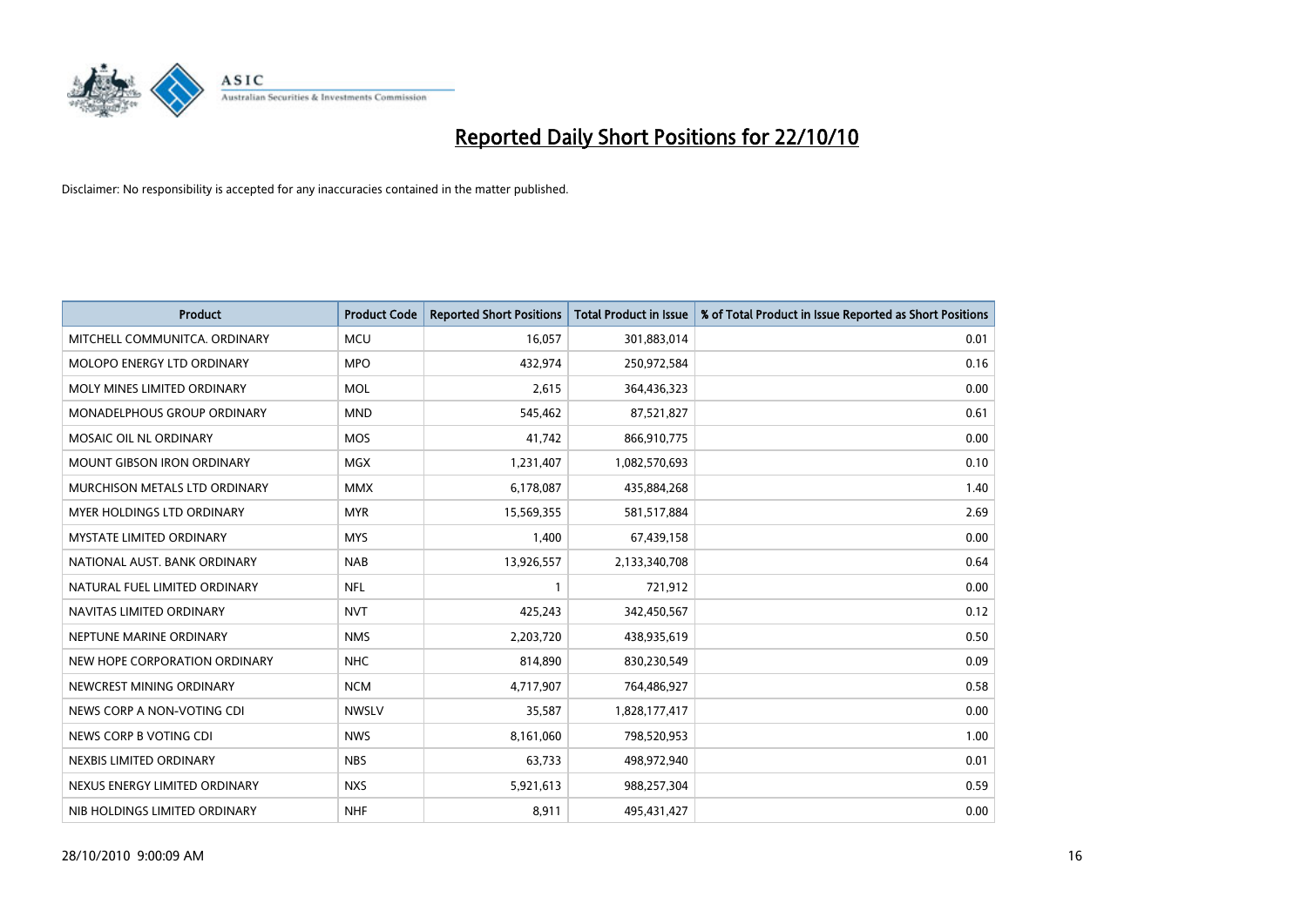

| <b>Product</b>                    | <b>Product Code</b> | <b>Reported Short Positions</b> | <b>Total Product in Issue</b> | % of Total Product in Issue Reported as Short Positions |
|-----------------------------------|---------------------|---------------------------------|-------------------------------|---------------------------------------------------------|
| MITCHELL COMMUNITCA, ORDINARY     | <b>MCU</b>          | 16,057                          | 301,883,014                   | 0.01                                                    |
| MOLOPO ENERGY LTD ORDINARY        | <b>MPO</b>          | 432,974                         | 250,972,584                   | 0.16                                                    |
| MOLY MINES LIMITED ORDINARY       | <b>MOL</b>          | 2,615                           | 364,436,323                   | 0.00                                                    |
| MONADELPHOUS GROUP ORDINARY       | <b>MND</b>          | 545,462                         | 87,521,827                    | 0.61                                                    |
| MOSAIC OIL NL ORDINARY            | <b>MOS</b>          | 41,742                          | 866,910,775                   | 0.00                                                    |
| <b>MOUNT GIBSON IRON ORDINARY</b> | <b>MGX</b>          | 1,231,407                       | 1,082,570,693                 | 0.10                                                    |
| MURCHISON METALS LTD ORDINARY     | <b>MMX</b>          | 6,178,087                       | 435,884,268                   | 1.40                                                    |
| <b>MYER HOLDINGS LTD ORDINARY</b> | <b>MYR</b>          | 15,569,355                      | 581,517,884                   | 2.69                                                    |
| <b>MYSTATE LIMITED ORDINARY</b>   | <b>MYS</b>          | 1,400                           | 67,439,158                    | 0.00                                                    |
| NATIONAL AUST. BANK ORDINARY      | <b>NAB</b>          | 13,926,557                      | 2,133,340,708                 | 0.64                                                    |
| NATURAL FUEL LIMITED ORDINARY     | <b>NFL</b>          |                                 | 721,912                       | 0.00                                                    |
| NAVITAS LIMITED ORDINARY          | <b>NVT</b>          | 425,243                         | 342,450,567                   | 0.12                                                    |
| NEPTUNE MARINE ORDINARY           | <b>NMS</b>          | 2,203,720                       | 438,935,619                   | 0.50                                                    |
| NEW HOPE CORPORATION ORDINARY     | <b>NHC</b>          | 814,890                         | 830,230,549                   | 0.09                                                    |
| NEWCREST MINING ORDINARY          | <b>NCM</b>          | 4,717,907                       | 764,486,927                   | 0.58                                                    |
| NEWS CORP A NON-VOTING CDI        | <b>NWSLV</b>        | 35,587                          | 1,828,177,417                 | 0.00                                                    |
| NEWS CORP B VOTING CDI            | <b>NWS</b>          | 8,161,060                       | 798,520,953                   | 1.00                                                    |
| NEXBIS LIMITED ORDINARY           | <b>NBS</b>          | 63,733                          | 498,972,940                   | 0.01                                                    |
| NEXUS ENERGY LIMITED ORDINARY     | <b>NXS</b>          | 5,921,613                       | 988,257,304                   | 0.59                                                    |
| NIB HOLDINGS LIMITED ORDINARY     | <b>NHF</b>          | 8,911                           | 495,431,427                   | 0.00                                                    |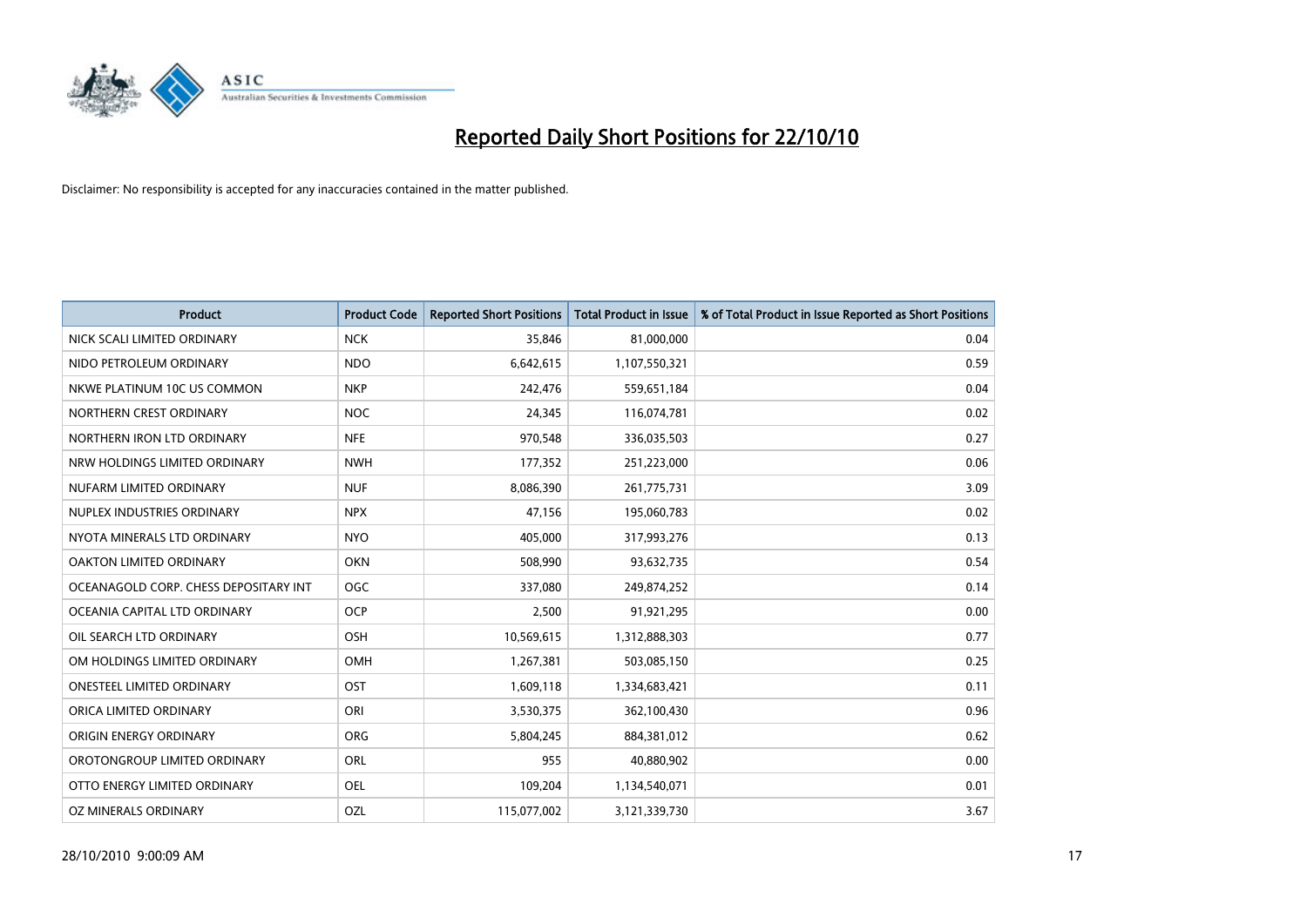

| <b>Product</b>                        | <b>Product Code</b> | <b>Reported Short Positions</b> | <b>Total Product in Issue</b> | % of Total Product in Issue Reported as Short Positions |
|---------------------------------------|---------------------|---------------------------------|-------------------------------|---------------------------------------------------------|
| NICK SCALI LIMITED ORDINARY           | <b>NCK</b>          | 35.846                          | 81,000,000                    | 0.04                                                    |
| NIDO PETROLEUM ORDINARY               | <b>NDO</b>          | 6,642,615                       | 1,107,550,321                 | 0.59                                                    |
| NKWE PLATINUM 10C US COMMON           | <b>NKP</b>          | 242,476                         | 559,651,184                   | 0.04                                                    |
| NORTHERN CREST ORDINARY               | <b>NOC</b>          | 24,345                          | 116,074,781                   | 0.02                                                    |
| NORTHERN IRON LTD ORDINARY            | <b>NFE</b>          | 970,548                         | 336,035,503                   | 0.27                                                    |
| NRW HOLDINGS LIMITED ORDINARY         | <b>NWH</b>          | 177,352                         | 251,223,000                   | 0.06                                                    |
| NUFARM LIMITED ORDINARY               | <b>NUF</b>          | 8,086,390                       | 261,775,731                   | 3.09                                                    |
| NUPLEX INDUSTRIES ORDINARY            | <b>NPX</b>          | 47.156                          | 195,060,783                   | 0.02                                                    |
| NYOTA MINERALS LTD ORDINARY           | <b>NYO</b>          | 405,000                         | 317,993,276                   | 0.13                                                    |
| <b>OAKTON LIMITED ORDINARY</b>        | <b>OKN</b>          | 508,990                         | 93,632,735                    | 0.54                                                    |
| OCEANAGOLD CORP. CHESS DEPOSITARY INT | <b>OGC</b>          | 337,080                         | 249,874,252                   | 0.14                                                    |
| OCEANIA CAPITAL LTD ORDINARY          | <b>OCP</b>          | 2,500                           | 91,921,295                    | 0.00                                                    |
| OIL SEARCH LTD ORDINARY               | OSH                 | 10,569,615                      | 1,312,888,303                 | 0.77                                                    |
| OM HOLDINGS LIMITED ORDINARY          | <b>OMH</b>          | 1,267,381                       | 503,085,150                   | 0.25                                                    |
| ONESTEEL LIMITED ORDINARY             | OST                 | 1,609,118                       | 1,334,683,421                 | 0.11                                                    |
| ORICA LIMITED ORDINARY                | ORI                 | 3,530,375                       | 362,100,430                   | 0.96                                                    |
| ORIGIN ENERGY ORDINARY                | ORG                 | 5,804,245                       | 884,381,012                   | 0.62                                                    |
| OROTONGROUP LIMITED ORDINARY          | ORL                 | 955                             | 40,880,902                    | 0.00                                                    |
| OTTO ENERGY LIMITED ORDINARY          | OEL                 | 109,204                         | 1,134,540,071                 | 0.01                                                    |
| OZ MINERALS ORDINARY                  | OZL                 | 115,077,002                     | 3,121,339,730                 | 3.67                                                    |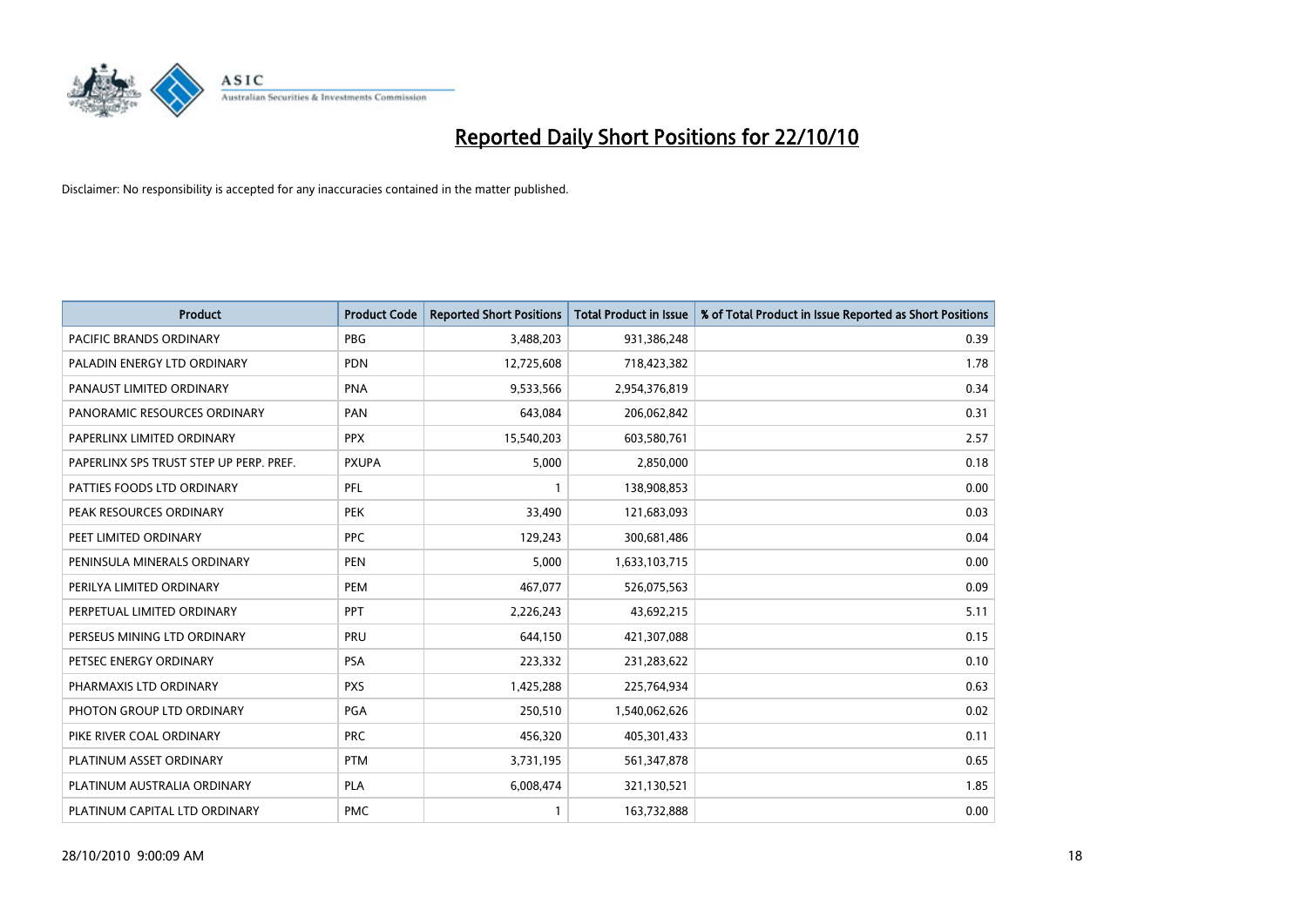

| <b>Product</b>                          | <b>Product Code</b> | <b>Reported Short Positions</b> | <b>Total Product in Issue</b> | % of Total Product in Issue Reported as Short Positions |
|-----------------------------------------|---------------------|---------------------------------|-------------------------------|---------------------------------------------------------|
| <b>PACIFIC BRANDS ORDINARY</b>          | <b>PBG</b>          | 3,488,203                       | 931,386,248                   | 0.39                                                    |
| PALADIN ENERGY LTD ORDINARY             | <b>PDN</b>          | 12,725,608                      | 718,423,382                   | 1.78                                                    |
| PANAUST LIMITED ORDINARY                | <b>PNA</b>          | 9,533,566                       | 2,954,376,819                 | 0.34                                                    |
| PANORAMIC RESOURCES ORDINARY            | PAN                 | 643,084                         | 206,062,842                   | 0.31                                                    |
| PAPERLINX LIMITED ORDINARY              | <b>PPX</b>          | 15,540,203                      | 603,580,761                   | 2.57                                                    |
| PAPERLINX SPS TRUST STEP UP PERP. PREF. | <b>PXUPA</b>        | 5,000                           | 2,850,000                     | 0.18                                                    |
| PATTIES FOODS LTD ORDINARY              | PFL                 |                                 | 138,908,853                   | 0.00                                                    |
| PEAK RESOURCES ORDINARY                 | <b>PEK</b>          | 33,490                          | 121,683,093                   | 0.03                                                    |
| PEET LIMITED ORDINARY                   | <b>PPC</b>          | 129,243                         | 300,681,486                   | 0.04                                                    |
| PENINSULA MINERALS ORDINARY             | <b>PEN</b>          | 5,000                           | 1,633,103,715                 | 0.00                                                    |
| PERILYA LIMITED ORDINARY                | PEM                 | 467,077                         | 526,075,563                   | 0.09                                                    |
| PERPETUAL LIMITED ORDINARY              | PPT                 | 2,226,243                       | 43,692,215                    | 5.11                                                    |
| PERSEUS MINING LTD ORDINARY             | PRU                 | 644,150                         | 421,307,088                   | 0.15                                                    |
| PETSEC ENERGY ORDINARY                  | <b>PSA</b>          | 223,332                         | 231,283,622                   | 0.10                                                    |
| PHARMAXIS LTD ORDINARY                  | <b>PXS</b>          | 1,425,288                       | 225,764,934                   | 0.63                                                    |
| PHOTON GROUP LTD ORDINARY               | PGA                 | 250,510                         | 1,540,062,626                 | 0.02                                                    |
| PIKE RIVER COAL ORDINARY                | <b>PRC</b>          | 456,320                         | 405,301,433                   | 0.11                                                    |
| PLATINUM ASSET ORDINARY                 | <b>PTM</b>          | 3,731,195                       | 561,347,878                   | 0.65                                                    |
| PLATINUM AUSTRALIA ORDINARY             | <b>PLA</b>          | 6,008,474                       | 321,130,521                   | 1.85                                                    |
| PLATINUM CAPITAL LTD ORDINARY           | <b>PMC</b>          |                                 | 163,732,888                   | 0.00                                                    |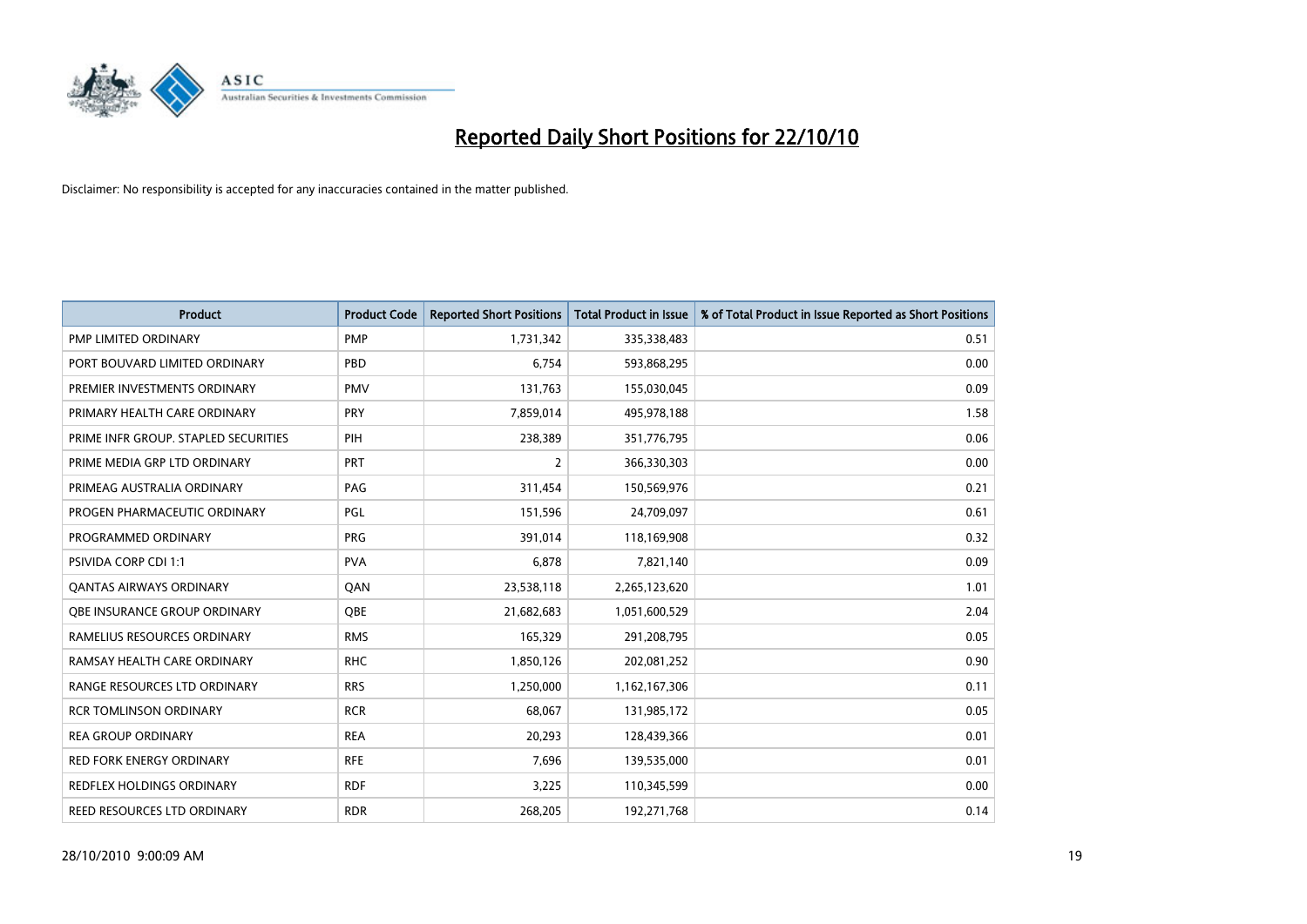

| <b>Product</b>                       | <b>Product Code</b> | <b>Reported Short Positions</b> | <b>Total Product in Issue</b> | % of Total Product in Issue Reported as Short Positions |
|--------------------------------------|---------------------|---------------------------------|-------------------------------|---------------------------------------------------------|
| <b>PMP LIMITED ORDINARY</b>          | <b>PMP</b>          | 1,731,342                       | 335,338,483                   | 0.51                                                    |
| PORT BOUVARD LIMITED ORDINARY        | PBD                 | 6,754                           | 593,868,295                   | 0.00                                                    |
| PREMIER INVESTMENTS ORDINARY         | <b>PMV</b>          | 131.763                         | 155,030,045                   | 0.09                                                    |
| PRIMARY HEALTH CARE ORDINARY         | <b>PRY</b>          | 7,859,014                       | 495,978,188                   | 1.58                                                    |
| PRIME INFR GROUP. STAPLED SECURITIES | PIH                 | 238,389                         | 351,776,795                   | 0.06                                                    |
| PRIME MEDIA GRP LTD ORDINARY         | PRT                 | $\overline{2}$                  | 366,330,303                   | 0.00                                                    |
| PRIMEAG AUSTRALIA ORDINARY           | PAG                 | 311,454                         | 150,569,976                   | 0.21                                                    |
| PROGEN PHARMACEUTIC ORDINARY         | <b>PGL</b>          | 151,596                         | 24,709,097                    | 0.61                                                    |
| PROGRAMMED ORDINARY                  | PRG                 | 391,014                         | 118,169,908                   | 0.32                                                    |
| PSIVIDA CORP CDI 1:1                 | <b>PVA</b>          | 6,878                           | 7,821,140                     | 0.09                                                    |
| <b>QANTAS AIRWAYS ORDINARY</b>       | QAN                 | 23,538,118                      | 2,265,123,620                 | 1.01                                                    |
| OBE INSURANCE GROUP ORDINARY         | <b>OBE</b>          | 21,682,683                      | 1,051,600,529                 | 2.04                                                    |
| RAMELIUS RESOURCES ORDINARY          | <b>RMS</b>          | 165,329                         | 291,208,795                   | 0.05                                                    |
| RAMSAY HEALTH CARE ORDINARY          | <b>RHC</b>          | 1,850,126                       | 202,081,252                   | 0.90                                                    |
| RANGE RESOURCES LTD ORDINARY         | <b>RRS</b>          | 1,250,000                       | 1,162,167,306                 | 0.11                                                    |
| <b>RCR TOMLINSON ORDINARY</b>        | <b>RCR</b>          | 68,067                          | 131,985,172                   | 0.05                                                    |
| <b>REA GROUP ORDINARY</b>            | <b>REA</b>          | 20,293                          | 128,439,366                   | 0.01                                                    |
| RED FORK ENERGY ORDINARY             | <b>RFE</b>          | 7,696                           | 139,535,000                   | 0.01                                                    |
| <b>REDFLEX HOLDINGS ORDINARY</b>     | <b>RDF</b>          | 3,225                           | 110,345,599                   | 0.00                                                    |
| REED RESOURCES LTD ORDINARY          | <b>RDR</b>          | 268,205                         | 192,271,768                   | 0.14                                                    |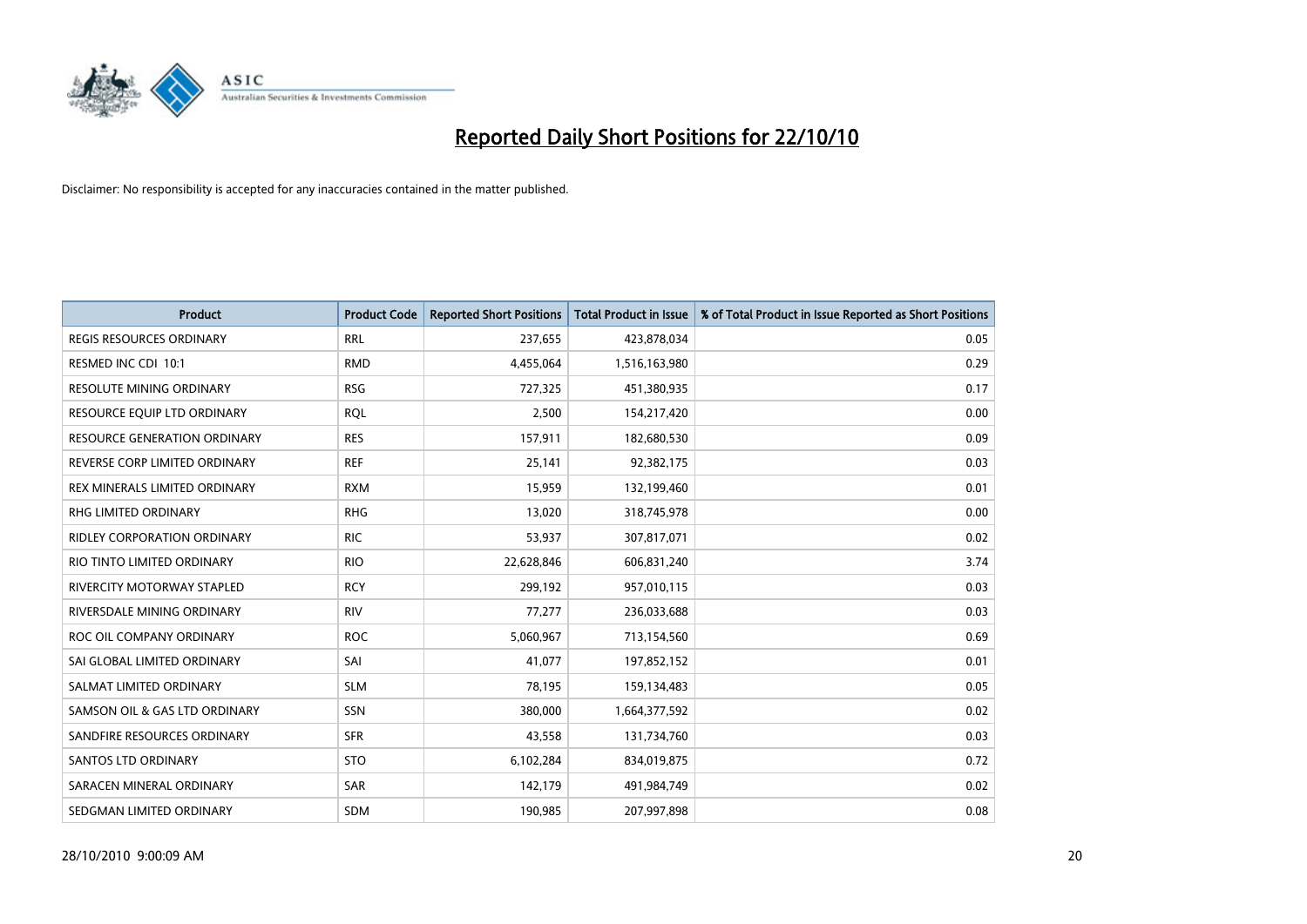

| <b>Product</b>                      | <b>Product Code</b> | <b>Reported Short Positions</b> | Total Product in Issue | % of Total Product in Issue Reported as Short Positions |
|-------------------------------------|---------------------|---------------------------------|------------------------|---------------------------------------------------------|
| <b>REGIS RESOURCES ORDINARY</b>     | <b>RRL</b>          | 237,655                         | 423,878,034            | 0.05                                                    |
| RESMED INC CDI 10:1                 | <b>RMD</b>          | 4,455,064                       | 1,516,163,980          | 0.29                                                    |
| <b>RESOLUTE MINING ORDINARY</b>     | <b>RSG</b>          | 727,325                         | 451,380,935            | 0.17                                                    |
| RESOURCE EQUIP LTD ORDINARY         | <b>RQL</b>          | 2,500                           | 154,217,420            | 0.00                                                    |
| <b>RESOURCE GENERATION ORDINARY</b> | <b>RES</b>          | 157,911                         | 182,680,530            | 0.09                                                    |
| REVERSE CORP LIMITED ORDINARY       | <b>REF</b>          | 25,141                          | 92,382,175             | 0.03                                                    |
| REX MINERALS LIMITED ORDINARY       | <b>RXM</b>          | 15,959                          | 132,199,460            | 0.01                                                    |
| RHG LIMITED ORDINARY                | <b>RHG</b>          | 13,020                          | 318,745,978            | 0.00                                                    |
| <b>RIDLEY CORPORATION ORDINARY</b>  | <b>RIC</b>          | 53,937                          | 307,817,071            | 0.02                                                    |
| RIO TINTO LIMITED ORDINARY          | <b>RIO</b>          | 22,628,846                      | 606,831,240            | 3.74                                                    |
| RIVERCITY MOTORWAY STAPLED          | <b>RCY</b>          | 299,192                         | 957,010,115            | 0.03                                                    |
| RIVERSDALE MINING ORDINARY          | <b>RIV</b>          | 77,277                          | 236,033,688            | 0.03                                                    |
| ROC OIL COMPANY ORDINARY            | <b>ROC</b>          | 5,060,967                       | 713,154,560            | 0.69                                                    |
| SAI GLOBAL LIMITED ORDINARY         | SAI                 | 41,077                          | 197,852,152            | 0.01                                                    |
| SALMAT LIMITED ORDINARY             | <b>SLM</b>          | 78,195                          | 159,134,483            | 0.05                                                    |
| SAMSON OIL & GAS LTD ORDINARY       | SSN                 | 380,000                         | 1,664,377,592          | 0.02                                                    |
| SANDFIRE RESOURCES ORDINARY         | <b>SFR</b>          | 43,558                          | 131,734,760            | 0.03                                                    |
| <b>SANTOS LTD ORDINARY</b>          | <b>STO</b>          | 6,102,284                       | 834,019,875            | 0.72                                                    |
| SARACEN MINERAL ORDINARY            | SAR                 | 142,179                         | 491,984,749            | 0.02                                                    |
| SEDGMAN LIMITED ORDINARY            | <b>SDM</b>          | 190,985                         | 207,997,898            | 0.08                                                    |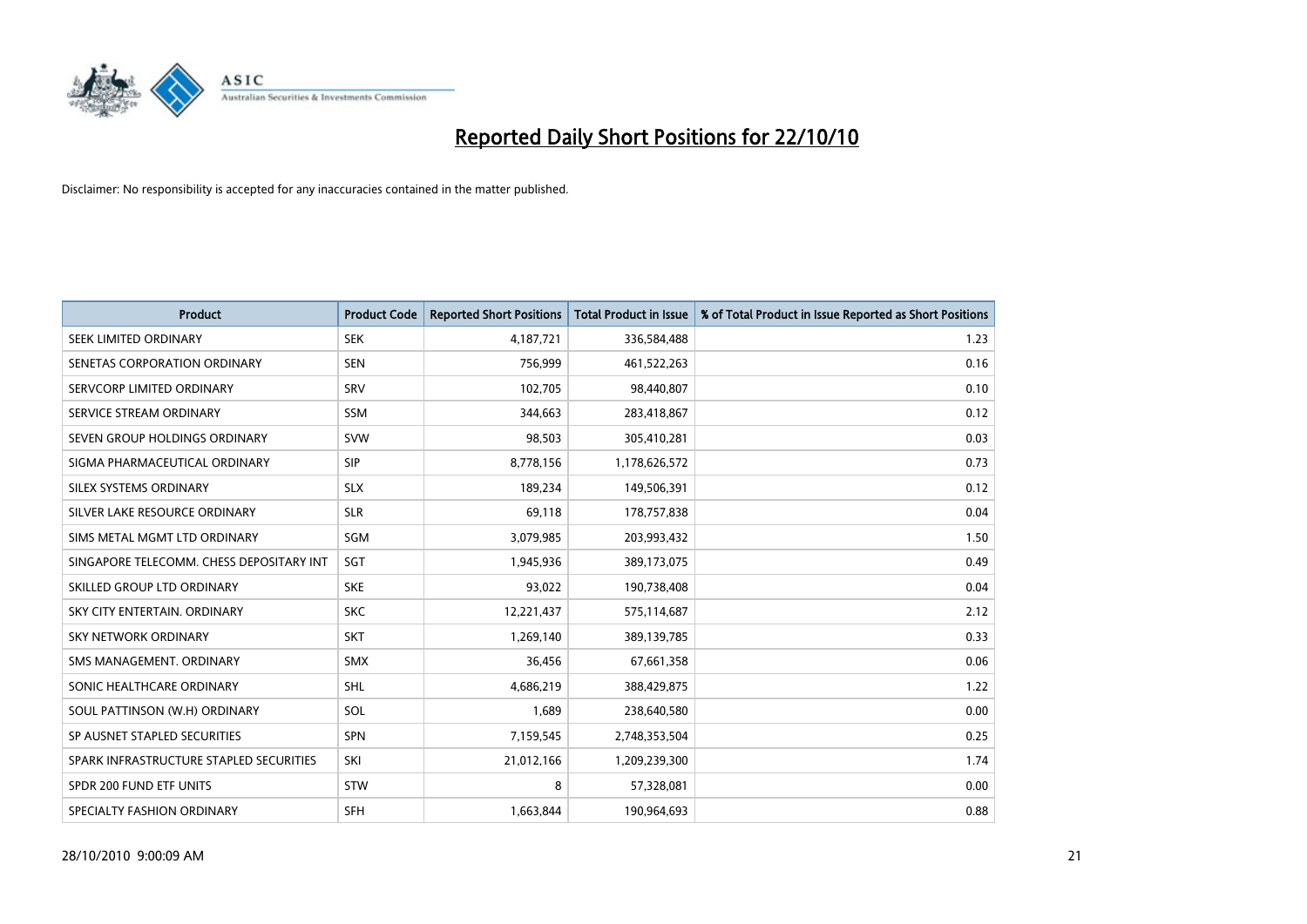

| <b>Product</b>                           | <b>Product Code</b> | <b>Reported Short Positions</b> | <b>Total Product in Issue</b> | % of Total Product in Issue Reported as Short Positions |
|------------------------------------------|---------------------|---------------------------------|-------------------------------|---------------------------------------------------------|
| SEEK LIMITED ORDINARY                    | <b>SEK</b>          | 4,187,721                       | 336,584,488                   | 1.23                                                    |
| SENETAS CORPORATION ORDINARY             | <b>SEN</b>          | 756,999                         | 461,522,263                   | 0.16                                                    |
| SERVCORP LIMITED ORDINARY                | SRV                 | 102,705                         | 98,440,807                    | 0.10                                                    |
| SERVICE STREAM ORDINARY                  | <b>SSM</b>          | 344,663                         | 283,418,867                   | 0.12                                                    |
| SEVEN GROUP HOLDINGS ORDINARY            | <b>SVW</b>          | 98,503                          | 305,410,281                   | 0.03                                                    |
| SIGMA PHARMACEUTICAL ORDINARY            | SIP                 | 8,778,156                       | 1,178,626,572                 | 0.73                                                    |
| SILEX SYSTEMS ORDINARY                   | <b>SLX</b>          | 189,234                         | 149,506,391                   | 0.12                                                    |
| SILVER LAKE RESOURCE ORDINARY            | <b>SLR</b>          | 69,118                          | 178,757,838                   | 0.04                                                    |
| SIMS METAL MGMT LTD ORDINARY             | SGM                 | 3,079,985                       | 203,993,432                   | 1.50                                                    |
| SINGAPORE TELECOMM. CHESS DEPOSITARY INT | SGT                 | 1,945,936                       | 389,173,075                   | 0.49                                                    |
| SKILLED GROUP LTD ORDINARY               | <b>SKE</b>          | 93,022                          | 190,738,408                   | 0.04                                                    |
| SKY CITY ENTERTAIN, ORDINARY             | <b>SKC</b>          | 12,221,437                      | 575,114,687                   | 2.12                                                    |
| <b>SKY NETWORK ORDINARY</b>              | <b>SKT</b>          | 1,269,140                       | 389,139,785                   | 0.33                                                    |
| SMS MANAGEMENT, ORDINARY                 | SMX                 | 36,456                          | 67,661,358                    | 0.06                                                    |
| SONIC HEALTHCARE ORDINARY                | <b>SHL</b>          | 4,686,219                       | 388,429,875                   | 1.22                                                    |
| SOUL PATTINSON (W.H) ORDINARY            | SOL                 | 1,689                           | 238,640,580                   | 0.00                                                    |
| SP AUSNET STAPLED SECURITIES             | <b>SPN</b>          | 7,159,545                       | 2,748,353,504                 | 0.25                                                    |
| SPARK INFRASTRUCTURE STAPLED SECURITIES  | SKI                 | 21,012,166                      | 1,209,239,300                 | 1.74                                                    |
| SPDR 200 FUND ETF UNITS                  | <b>STW</b>          | 8                               | 57,328,081                    | 0.00                                                    |
| SPECIALTY FASHION ORDINARY               | <b>SFH</b>          | 1,663,844                       | 190,964,693                   | 0.88                                                    |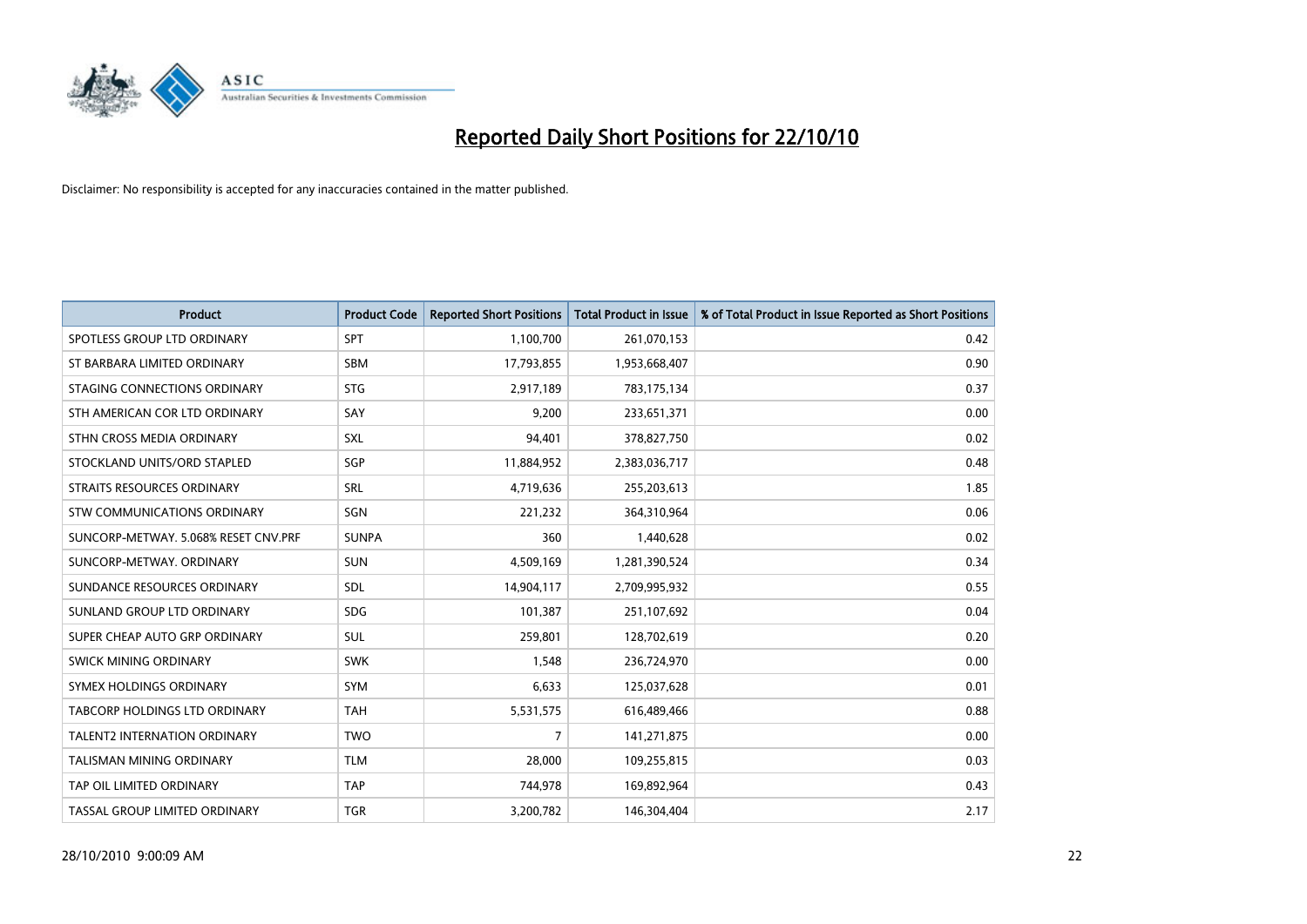

| <b>Product</b>                       | <b>Product Code</b> | <b>Reported Short Positions</b> | Total Product in Issue | % of Total Product in Issue Reported as Short Positions |
|--------------------------------------|---------------------|---------------------------------|------------------------|---------------------------------------------------------|
| SPOTLESS GROUP LTD ORDINARY          | SPT                 | 1,100,700                       | 261,070,153            | 0.42                                                    |
| ST BARBARA LIMITED ORDINARY          | <b>SBM</b>          | 17,793,855                      | 1,953,668,407          | 0.90                                                    |
| STAGING CONNECTIONS ORDINARY         | <b>STG</b>          | 2,917,189                       | 783,175,134            | 0.37                                                    |
| STH AMERICAN COR LTD ORDINARY        | SAY                 | 9,200                           | 233,651,371            | 0.00                                                    |
| STHN CROSS MEDIA ORDINARY            | <b>SXL</b>          | 94,401                          | 378,827,750            | 0.02                                                    |
| STOCKLAND UNITS/ORD STAPLED          | SGP                 | 11,884,952                      | 2,383,036,717          | 0.48                                                    |
| <b>STRAITS RESOURCES ORDINARY</b>    | <b>SRL</b>          | 4,719,636                       | 255,203,613            | 1.85                                                    |
| <b>STW COMMUNICATIONS ORDINARY</b>   | SGN                 | 221,232                         | 364,310,964            | 0.06                                                    |
| SUNCORP-METWAY, 5.068% RESET CNV.PRF | <b>SUNPA</b>        | 360                             | 1,440,628              | 0.02                                                    |
| SUNCORP-METWAY, ORDINARY             | <b>SUN</b>          | 4,509,169                       | 1,281,390,524          | 0.34                                                    |
| SUNDANCE RESOURCES ORDINARY          | <b>SDL</b>          | 14,904,117                      | 2,709,995,932          | 0.55                                                    |
| SUNLAND GROUP LTD ORDINARY           | <b>SDG</b>          | 101,387                         | 251,107,692            | 0.04                                                    |
| SUPER CHEAP AUTO GRP ORDINARY        | <b>SUL</b>          | 259,801                         | 128,702,619            | 0.20                                                    |
| SWICK MINING ORDINARY                | <b>SWK</b>          | 1,548                           | 236,724,970            | 0.00                                                    |
| SYMEX HOLDINGS ORDINARY              | <b>SYM</b>          | 6,633                           | 125,037,628            | 0.01                                                    |
| TABCORP HOLDINGS LTD ORDINARY        | <b>TAH</b>          | 5,531,575                       | 616,489,466            | 0.88                                                    |
| TALENT2 INTERNATION ORDINARY         | <b>TWO</b>          | $\overline{7}$                  | 141,271,875            | 0.00                                                    |
| <b>TALISMAN MINING ORDINARY</b>      | <b>TLM</b>          | 28,000                          | 109,255,815            | 0.03                                                    |
| TAP OIL LIMITED ORDINARY             | <b>TAP</b>          | 744,978                         | 169,892,964            | 0.43                                                    |
| TASSAL GROUP LIMITED ORDINARY        | <b>TGR</b>          | 3,200,782                       | 146,304,404            | 2.17                                                    |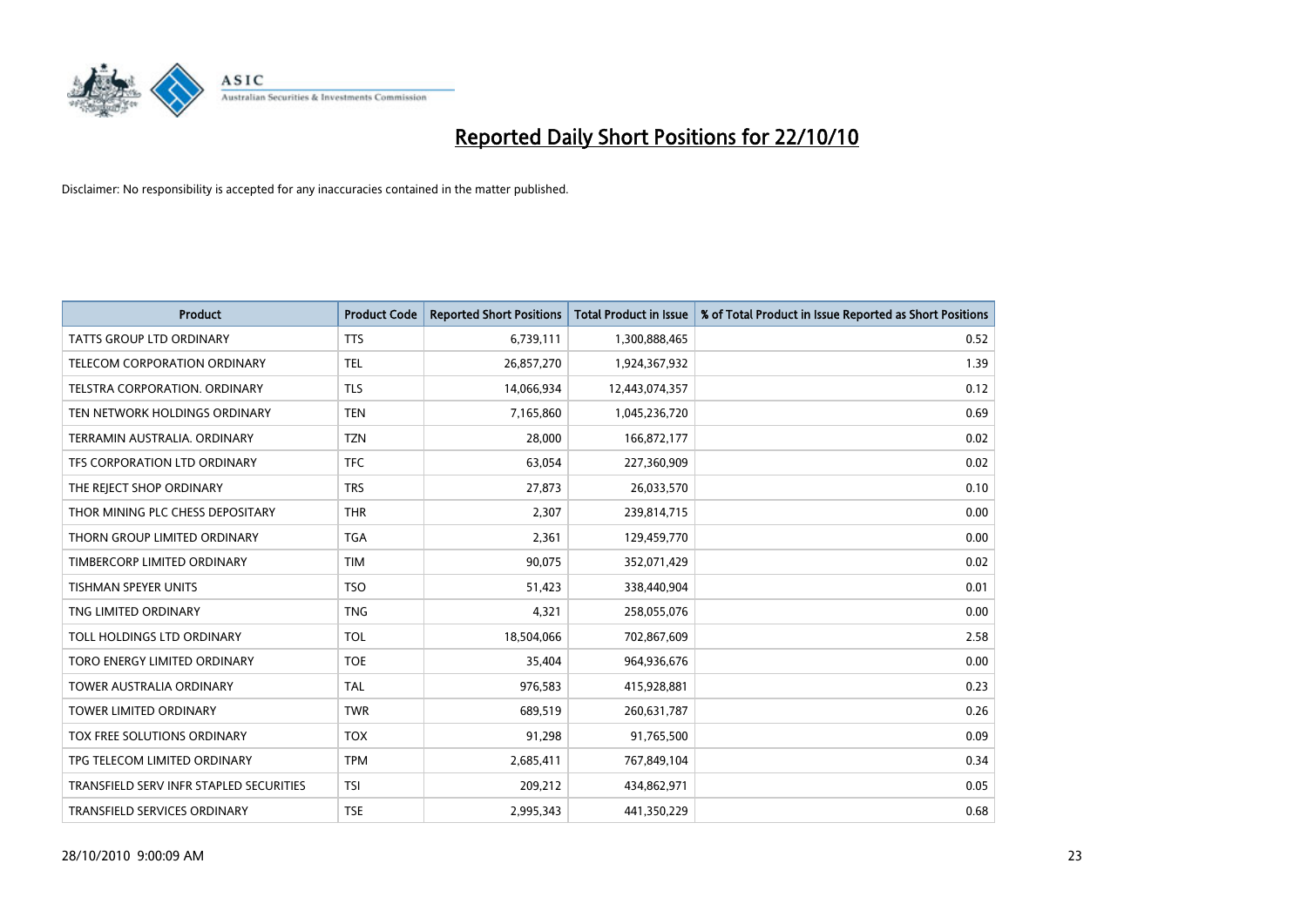

| <b>Product</b>                          | <b>Product Code</b> | <b>Reported Short Positions</b> | Total Product in Issue | % of Total Product in Issue Reported as Short Positions |
|-----------------------------------------|---------------------|---------------------------------|------------------------|---------------------------------------------------------|
| <b>TATTS GROUP LTD ORDINARY</b>         | <b>TTS</b>          | 6,739,111                       | 1,300,888,465          | 0.52                                                    |
| TELECOM CORPORATION ORDINARY            | <b>TEL</b>          | 26,857,270                      | 1,924,367,932          | 1.39                                                    |
| TELSTRA CORPORATION, ORDINARY           | <b>TLS</b>          | 14,066,934                      | 12,443,074,357         | 0.12                                                    |
| TEN NETWORK HOLDINGS ORDINARY           | <b>TEN</b>          | 7,165,860                       | 1,045,236,720          | 0.69                                                    |
| TERRAMIN AUSTRALIA, ORDINARY            | <b>TZN</b>          | 28,000                          | 166,872,177            | 0.02                                                    |
| TFS CORPORATION LTD ORDINARY            | <b>TFC</b>          | 63,054                          | 227,360,909            | 0.02                                                    |
| THE REJECT SHOP ORDINARY                | <b>TRS</b>          | 27,873                          | 26,033,570             | 0.10                                                    |
| THOR MINING PLC CHESS DEPOSITARY        | <b>THR</b>          | 2,307                           | 239,814,715            | 0.00                                                    |
| THORN GROUP LIMITED ORDINARY            | <b>TGA</b>          | 2,361                           | 129,459,770            | 0.00                                                    |
| TIMBERCORP LIMITED ORDINARY             | <b>TIM</b>          | 90,075                          | 352,071,429            | 0.02                                                    |
| <b>TISHMAN SPEYER UNITS</b>             | <b>TSO</b>          | 51,423                          | 338,440,904            | 0.01                                                    |
| TNG LIMITED ORDINARY                    | <b>TNG</b>          | 4,321                           | 258,055,076            | 0.00                                                    |
| TOLL HOLDINGS LTD ORDINARY              | <b>TOL</b>          | 18,504,066                      | 702,867,609            | 2.58                                                    |
| TORO ENERGY LIMITED ORDINARY            | <b>TOE</b>          | 35,404                          | 964,936,676            | 0.00                                                    |
| <b>TOWER AUSTRALIA ORDINARY</b>         | <b>TAL</b>          | 976,583                         | 415,928,881            | 0.23                                                    |
| TOWER LIMITED ORDINARY                  | <b>TWR</b>          | 689,519                         | 260,631,787            | 0.26                                                    |
| TOX FREE SOLUTIONS ORDINARY             | <b>TOX</b>          | 91,298                          | 91,765,500             | 0.09                                                    |
| TPG TELECOM LIMITED ORDINARY            | <b>TPM</b>          | 2,685,411                       | 767,849,104            | 0.34                                                    |
| TRANSFIELD SERV INFR STAPLED SECURITIES | <b>TSI</b>          | 209,212                         | 434,862,971            | 0.05                                                    |
| TRANSFIELD SERVICES ORDINARY            | <b>TSE</b>          | 2.995.343                       | 441,350,229            | 0.68                                                    |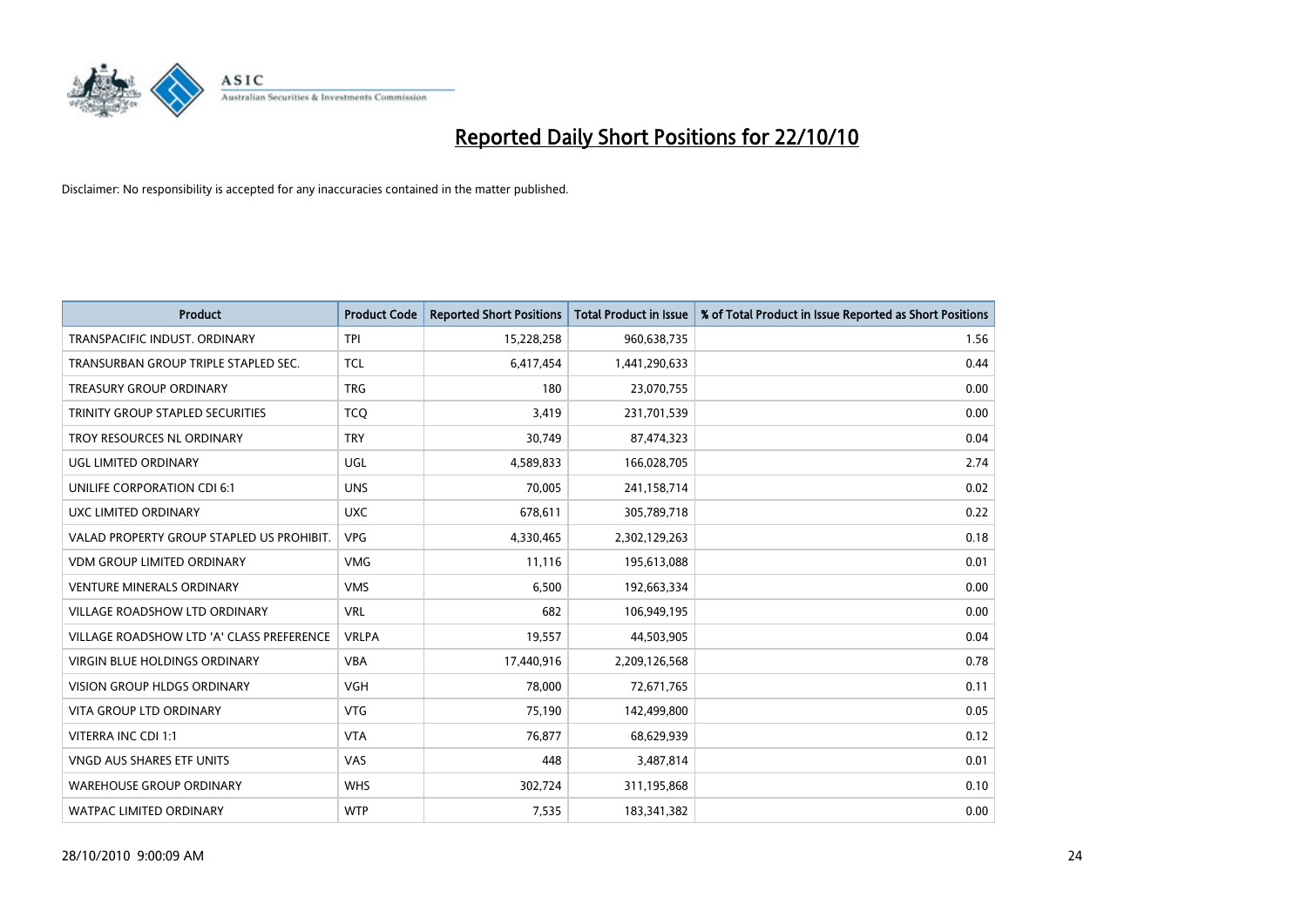

| <b>Product</b>                            | <b>Product Code</b> | <b>Reported Short Positions</b> | <b>Total Product in Issue</b> | % of Total Product in Issue Reported as Short Positions |
|-------------------------------------------|---------------------|---------------------------------|-------------------------------|---------------------------------------------------------|
| TRANSPACIFIC INDUST, ORDINARY             | <b>TPI</b>          | 15,228,258                      | 960,638,735                   | 1.56                                                    |
| TRANSURBAN GROUP TRIPLE STAPLED SEC.      | <b>TCL</b>          | 6,417,454                       | 1,441,290,633                 | 0.44                                                    |
| <b>TREASURY GROUP ORDINARY</b>            | <b>TRG</b>          | 180                             | 23,070,755                    | 0.00                                                    |
| TRINITY GROUP STAPLED SECURITIES          | <b>TCO</b>          | 3,419                           | 231,701,539                   | 0.00                                                    |
| <b>TROY RESOURCES NL ORDINARY</b>         | <b>TRY</b>          | 30,749                          | 87,474,323                    | 0.04                                                    |
| UGL LIMITED ORDINARY                      | <b>UGL</b>          | 4,589,833                       | 166,028,705                   | 2.74                                                    |
| UNILIFE CORPORATION CDI 6:1               | <b>UNS</b>          | 70,005                          | 241,158,714                   | 0.02                                                    |
| UXC LIMITED ORDINARY                      | <b>UXC</b>          | 678,611                         | 305,789,718                   | 0.22                                                    |
| VALAD PROPERTY GROUP STAPLED US PROHIBIT. | <b>VPG</b>          | 4,330,465                       | 2,302,129,263                 | 0.18                                                    |
| <b>VDM GROUP LIMITED ORDINARY</b>         | <b>VMG</b>          | 11,116                          | 195,613,088                   | 0.01                                                    |
| VENTURE MINERALS ORDINARY                 | <b>VMS</b>          | 6,500                           | 192,663,334                   | 0.00                                                    |
| VILLAGE ROADSHOW LTD ORDINARY             | <b>VRL</b>          | 682                             | 106,949,195                   | 0.00                                                    |
| VILLAGE ROADSHOW LTD 'A' CLASS PREFERENCE | <b>VRLPA</b>        | 19,557                          | 44,503,905                    | 0.04                                                    |
| <b>VIRGIN BLUE HOLDINGS ORDINARY</b>      | <b>VBA</b>          | 17,440,916                      | 2,209,126,568                 | 0.78                                                    |
| <b>VISION GROUP HLDGS ORDINARY</b>        | <b>VGH</b>          | 78,000                          | 72,671,765                    | 0.11                                                    |
| <b>VITA GROUP LTD ORDINARY</b>            | <b>VTG</b>          | 75,190                          | 142,499,800                   | 0.05                                                    |
| VITERRA INC CDI 1:1                       | <b>VTA</b>          | 76,877                          | 68,629,939                    | 0.12                                                    |
| VNGD AUS SHARES ETF UNITS                 | <b>VAS</b>          | 448                             | 3,487,814                     | 0.01                                                    |
| <b>WAREHOUSE GROUP ORDINARY</b>           | <b>WHS</b>          | 302,724                         | 311,195,868                   | 0.10                                                    |
| <b>WATPAC LIMITED ORDINARY</b>            | <b>WTP</b>          | 7,535                           | 183,341,382                   | 0.00                                                    |